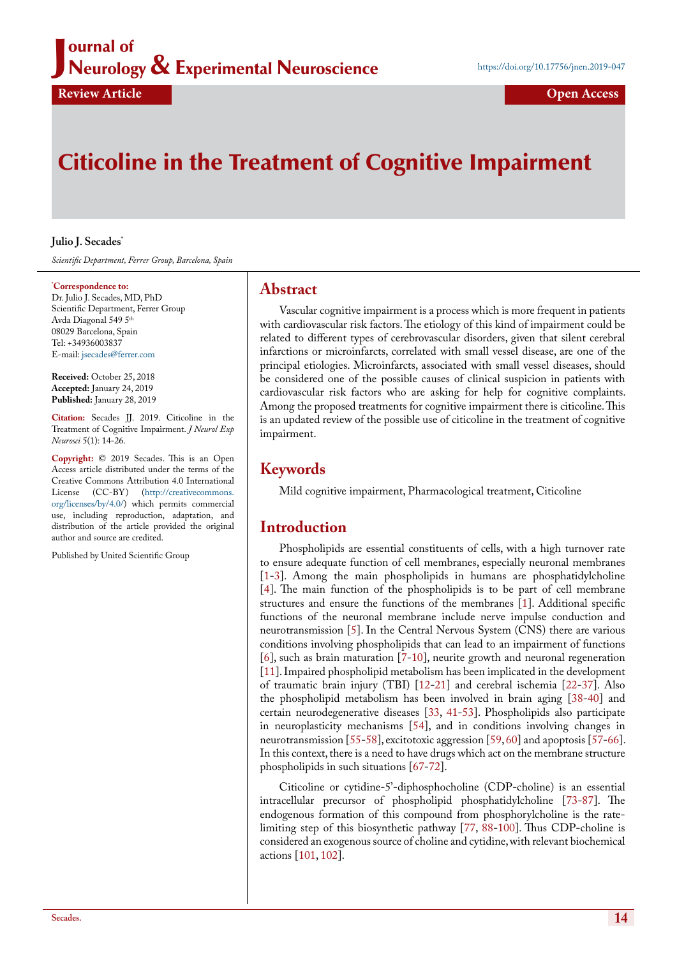## J ournal of Neurology & Experimental Neuroscience

# Citicoline in the Treatment of Cognitive Impairment

#### **Julio J. Secades\***

*Scientific Department, Ferrer Group, Barcelona, Spain*

#### **\* Correspondence to:**

Dr. Julio J. Secades, MD, PhD Scientific Department, Ferrer Group Avda Diagonal 549 5th 08029 Barcelona, Spain Tel: +34936003837 E-mail: [jsecades@ferrer.com](mailto:jsecades@ferrer.com)

**Received:** October 25, 2018 **Accepted:** January 24, 2019 **Published:** January 28, 2019

**Citation:** Secades JJ. 2019. Citicoline in the Treatment of Cognitive Impairment. *J Neurol Exp Neurosci* 5(1): 14-26.

**Copyright:** © 2019 Secades. This is an Open Access article distributed under the terms of the Creative Commons Attribution 4.0 International License (CC-BY) [\(http://creativecommons.](http://creativecommons.org/licenses/by/4.0/) [org/licenses/by/4.0/\)](http://creativecommons.org/licenses/by/4.0/) which permits commercial use, including reproduction, adaptation, and distribution of the article provided the original author and source are credited.

Published by United Scientific Group

## **Abstract**

Vascular cognitive impairment is a process which is more frequent in patients with cardiovascular risk factors. The etiology of this kind of impairment could be related to different types of cerebrovascular disorders, given that silent cerebral infarctions or microinfarcts, correlated with small vessel disease, are one of the principal etiologies. Microinfarcts, associated with small vessel diseases, should be considered one of the possible causes of clinical suspicion in patients with cardiovascular risk factors who are asking for help for cognitive complaints. Among the proposed treatments for cognitive impairment there is citicoline. This is an updated review of the possible use of citicoline in the treatment of cognitive impairment.

# **Keywords**

Mild cognitive impairment, Pharmacological treatment, Citicoline

# **Introduction**

Phospholipids are essential constituents of cells, with a high turnover rate to ensure adequate function of cell membranes, especially neuronal membranes [\[1](#page-3-0)[-3](#page-3-1)]. Among the main phospholipids in humans are phosphatidylcholine [\[4](#page-4-0)]. The main function of the phospholipids is to be part of cell membrane structures and ensure the functions of the membranes  $\overline{[1]}$  $\overline{[1]}$  $\overline{[1]}$ . Additional specific functions of the neuronal membrane include nerve impulse conduction and neurotransmission [[5\]](#page-4-1). In the Central Nervous System (CNS) there are various conditions involving phospholipids that can lead to an impairment of functions [\[6](#page-4-2)], such as brain maturation [[7](#page-4-3)[-10](#page-4-4)], neurite growth and neuronal regeneration [\[11](#page-4-5)]. Impaired phospholipid metabolism has been implicated in the development of traumatic brain injury (TBI) [\[12](#page-4-6)[-21](#page-4-7)] and cerebral ischemia [[22-](#page-4-8)[37\]](#page-4-9). Also the phospholipid metabolism has been involved in brain aging [[38-](#page-4-10)[40\]](#page-4-11) and certain neurodegenerative diseases [[33,](#page-4-12) [41-](#page-5-0)[53\]](#page-5-1). Phospholipids also participate in neuroplasticity mechanisms [\[54](#page-5-2)], and in conditions involving changes in neurotransmission [[55-](#page-5-3)[58\]](#page-5-4), excitotoxic aggression [\[59](#page-5-5), [60](#page-5-6)] and apoptosis [[57-](#page-5-7)[66\]](#page-5-8). In this context, there is a need to have drugs which act on the membrane structure phospholipids in such situations [\[67](#page-5-9)[-72](#page-5-10)].

Citicoline or cytidine-5'-diphosphocholine (CDP-choline) is an essential intracellular precursor of phospholipid phosphatidylcholine [\[73](#page-5-11)[-87](#page-6-0)]. The endogenous formation of this compound from phosphorylcholine is the ratelimiting step of this biosynthetic pathway [\[77](#page-6-1), [88-](#page-6-2)[100\]](#page-6-3). Thus CDP-choline is considered an exogenous source of choline and cytidine, with relevant biochemical actions [[101,](#page-6-4) [102](#page-6-5)].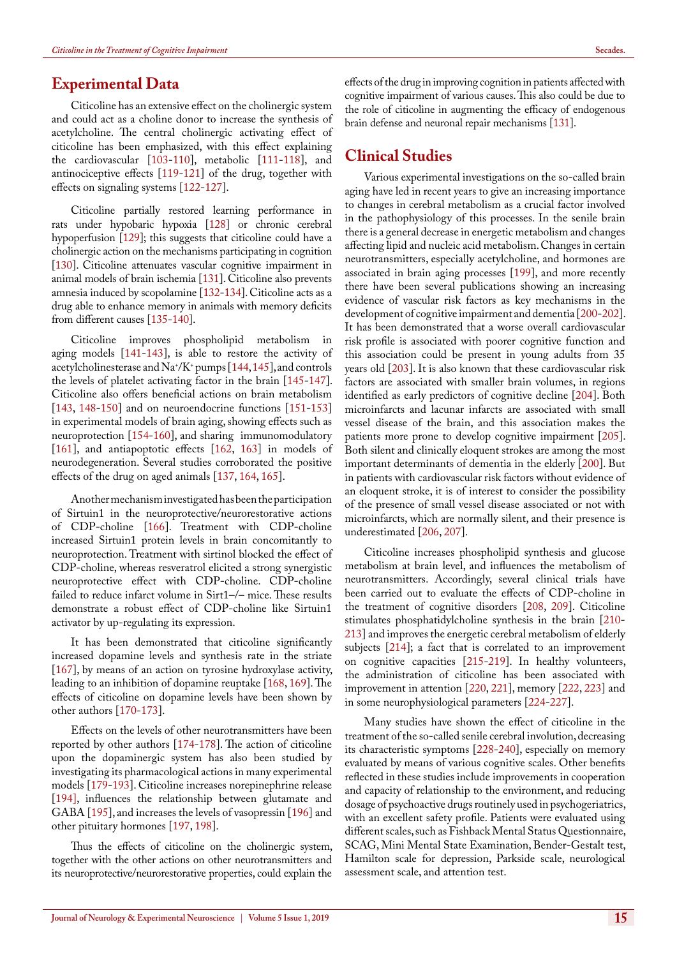### **Experimental Data**

Citicoline has an extensive effect on the cholinergic system and could act as a choline donor to increase the synthesis of acetylcholine. The central cholinergic activating effect of citicoline has been emphasized, with this effect explaining the cardiovascular [\[103](#page-6-6)[-110](#page-7-1)], metabolic [\[111](#page-7-2)[-118](#page-7-3)], and antinociceptive effects [\[119](#page-7-4)[-121](#page-7-5)] of the drug, together with effects on signaling systems [\[122](#page-7-6)[-127](#page-7-7)].

Citicoline partially restored learning performance in rats under hypobaric hypoxia [\[128\]](#page-7-8) or chronic cerebral hypoperfusion [\[129\]](#page-7-9); this suggests that citicoline could have a cholinergic action on the mechanisms participating in cognition [[130](#page-7-10)]. Citicoline attenuates vascular cognitive impairment in animal models of brain ischemia [\[131\]](#page-7-0). Citicoline also prevents amnesia induced by scopolamine [[132](#page-7-11)[-134](#page-7-12)]. Citicoline acts as a drug able to enhance memory in animals with memory deficits from different causes [[135](#page-7-13)[-140](#page-8-0)].

Citicoline improves phospholipid metabolism in aging models [[141-](#page-8-1)[143\]](#page-8-2), is able to restore the activity of acetylcholinesterase and Na+ /K+ pumps [[144,](#page-8-3) [145\]](#page-8-4), and controls the levels of platelet activating factor in the brain [[145-](#page-8-4)[147\]](#page-8-5). Citicoline also offers beneficial actions on brain metabolism [[143,](#page-8-2) [148-](#page-8-6)[150\]](#page-8-7) and on neuroendocrine functions [\[151](#page-8-8)[-153](#page-8-9)] in experimental models of brain aging, showing effects such as neuroprotection [[154-](#page-8-10)[160\]](#page-8-11), and sharing immunomodulatory [[161\]](#page-8-12), and antiapoptotic effects [[162,](#page-8-13) [163\]](#page-8-14) in models of neurodegeneration. Several studies corroborated the positive effects of the drug on aged animals [\[137](#page-7-14), [164](#page-8-15), [165\]](#page-8-16).

Another mechanism investigated has been the participation of Sirtuin1 in the neuroprotective/neurorestorative actions of CDP-choline [[166\]](#page-8-17). Treatment with CDP-choline increased Sirtuin1 protein levels in brain concomitantly to neuroprotection. Treatment with sirtinol blocked the effect of CDP-choline, whereas resveratrol elicited a strong synergistic neuroprotective effect with CDP-choline. CDP-choline failed to reduce infarct volume in Sirt1–/– mice. These results demonstrate a robust effect of CDP-choline like Sirtuin1 activator by up-regulating its expression.

It has been demonstrated that citicoline significantly increased dopamine levels and synthesis rate in the striate [[167\]](#page-8-18), by means of an action on tyrosine hydroxylase activity, leading to an inhibition of dopamine reuptake [\[168](#page-8-19), [169](#page-8-20)]. The effects of citicoline on dopamine levels have been shown by other authors [\[170](#page-8-21)[-173](#page-9-6)].

Effects on the levels of other neurotransmitters have been reported by other authors [[174](#page-9-7)[-178](#page-9-8)]. The action of citicoline upon the dopaminergic system has also been studied by investigating its pharmacological actions in many experimental models [[179-](#page-9-9)[193\]](#page-9-10). Citicoline increases norepinephrine release [[194\]](#page-9-11), influences the relationship between glutamate and GABA [\[195](#page-9-12)], and increases the levels of vasopressin [[196\]](#page-9-13) and other pituitary hormones [\[197](#page-9-14), [198](#page-9-15)].

Thus the effects of citicoline on the cholinergic system, together with the other actions on other neurotransmitters and its neuroprotective/neurorestorative properties, could explain the

effects of the drug in improving cognition in patients affected with cognitive impairment of various causes. This also could be due to the role of citicoline in augmenting the efficacy of endogenous brain defense and neuronal repair mechanisms [[131](#page-7-0)].

## **Clinical Studies**

Various experimental investigations on the so-called brain aging have led in recent years to give an increasing importance to changes in cerebral metabolism as a crucial factor involved in the pathophysiology of this processes. In the senile brain there is a general decrease in energetic metabolism and changes affecting lipid and nucleic acid metabolism. Changes in certain neurotransmitters, especially acetylcholine, and hormones are associated in brain aging processes [\[199](#page-9-0)], and more recently there have been several publications showing an increasing evidence of vascular risk factors as key mechanisms in the development of cognitive impairment and dementia [[200-](#page-9-1)[202\]](#page-9-2). It has been demonstrated that a worse overall cardiovascular risk profile is associated with poorer cognitive function and this association could be present in young adults from 35 years old [[203\]](#page-9-3). It is also known that these cardiovascular risk factors are associated with smaller brain volumes, in regions identified as early predictors of cognitive decline [\[204](#page-9-4)]. Both microinfarcts and lacunar infarcts are associated with small vessel disease of the brain, and this association makes the patients more prone to develop cognitive impairment [[205\]](#page-9-5). Both silent and clinically eloquent strokes are among the most important determinants of dementia in the elderly [[200\]](#page-9-1). But in patients with cardiovascular risk factors without evidence of an eloquent stroke, it is of interest to consider the possibility of the presence of small vessel disease associated or not with microinfarcts, which are normally silent, and their presence is underestimated [\[206](#page-10-0), [207\]](#page-10-1).

Citicoline increases phospholipid synthesis and glucose metabolism at brain level, and influences the metabolism of neurotransmitters. Accordingly, several clinical trials have been carried out to evaluate the effects of CDP-choline in the treatment of cognitive disorders [\[208](#page-10-2), [209\]](#page-10-3). Citicoline stimulates phosphatidylcholine synthesis in the brain [[210-](#page-10-4) [213](#page-10-5)] and improves the energetic cerebral metabolism of elderly subjects [\[214](#page-10-6)]; a fact that is correlated to an improvement on cognitive capacities [[215-](#page-10-7)[219\]](#page-10-8). In healthy volunteers, the administration of citicoline has been associated with improvement in attention [[220,](#page-10-9) [221\]](#page-10-10), memory [[222,](#page-10-11) [223\]](#page-10-12) and in some neurophysiological parameters [[224-](#page-10-13)[227\]](#page-10-14).

Many studies have shown the effect of citicoline in the treatment of the so-called senile cerebral involution, decreasing its characteristic symptoms [\[228](#page-10-15)[-240](#page-10-16)], especially on memory evaluated by means of various cognitive scales. Other benefits reflected in these studies include improvements in cooperation and capacity of relationship to the environment, and reducing dosage of psychoactive drugs routinely used in psychogeriatrics, with an excellent safety profile. Patients were evaluated using different scales, such as Fishback Mental Status Questionnaire, SCAG, Mini Mental State Examination, Bender-Gestalt test, Hamilton scale for depression, Parkside scale, neurological assessment scale, and attention test.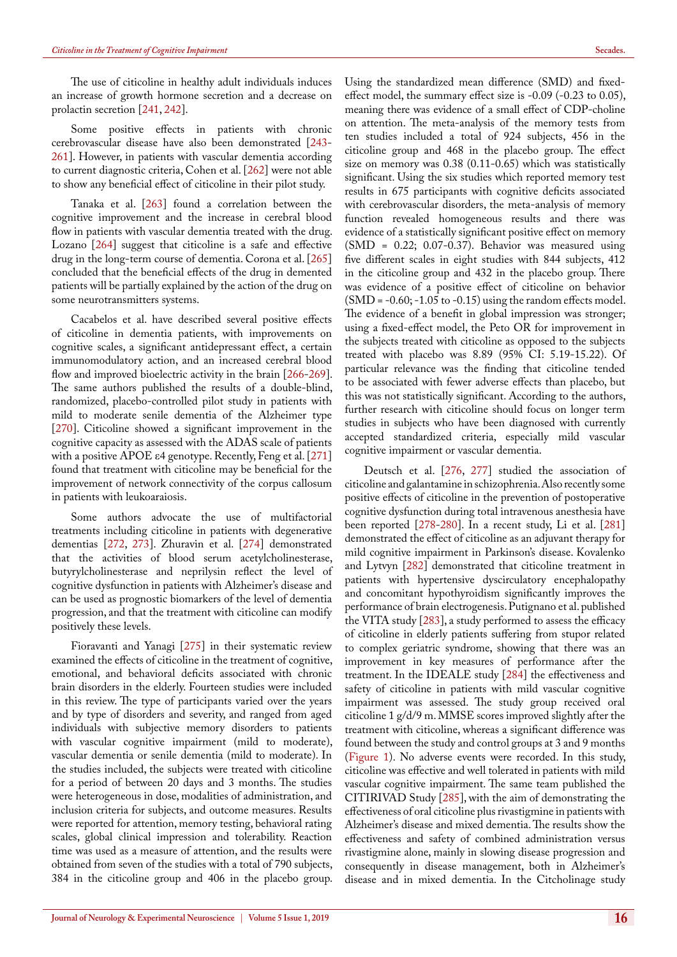The use of citicoline in healthy adult individuals induces an increase of growth hormone secretion and a decrease on prolactin secretion [\[241](#page-10-17), [242](#page-10-18)].

Some positive effects in patients with chronic cerebrovascular disease have also been demonstrated [[243-](#page-11-0) [261](#page-11-1)]. However, in patients with vascular dementia according to current diagnostic criteria, Cohen et al. [[262\]](#page-11-2) were not able to show any beneficial effect of citicoline in their pilot study.

Tanaka et al. [\[263](#page-11-3)] found a correlation between the cognitive improvement and the increase in cerebral blood flow in patients with vascular dementia treated with the drug. Lozano [\[264](#page-11-4)] suggest that citicoline is a safe and effective drug in the long-term course of dementia. Corona et al. [\[265](#page-11-5)] concluded that the beneficial effects of the drug in demented patients will be partially explained by the action of the drug on some neurotransmitters systems.

Cacabelos et al. have described several positive effects of citicoline in dementia patients, with improvements on cognitive scales, a significant antidepressant effect, a certain immunomodulatory action, and an increased cerebral blood flow and improved bioelectric activity in the brain [[266-](#page-11-6)[269\]](#page-11-7). The same authors published the results of a double-blind, randomized, placebo-controlled pilot study in patients with mild to moderate senile dementia of the Alzheimer type [[270\]](#page-11-8). Citicoline showed a significant improvement in the cognitive capacity as assessed with the ADAS scale of patients with a positive APOE ε4 genotype. Recently, Feng et al. [\[271](#page-11-9)] found that treatment with citicoline may be beneficial for the improvement of network connectivity of the corpus callosum in patients with leukoaraiosis.

Some authors advocate the use of multifactorial treatments including citicoline in patients with degenerative dementias [[272,](#page-11-10) [273](#page-11-11)]. Zhuravin et al. [[274\]](#page-11-12) demonstrated that the activities of blood serum acetylcholinesterase, butyrylcholinesterase and neprilysin reflect the level of cognitive dysfunction in patients with Alzheimer's disease and can be used as prognostic biomarkers of the level of dementia progression, and that the treatment with citicoline can modify positively these levels.

Fioravanti and Yanagi [[275\]](#page-11-13) in their systematic review examined the effects of citicoline in the treatment of cognitive, emotional, and behavioral deficits associated with chronic brain disorders in the elderly. Fourteen studies were included in this review. The type of participants varied over the years and by type of disorders and severity, and ranged from aged individuals with subjective memory disorders to patients with vascular cognitive impairment (mild to moderate), vascular dementia or senile dementia (mild to moderate). In the studies included, the subjects were treated with citicoline for a period of between 20 days and 3 months. The studies were heterogeneous in dose, modalities of administration, and inclusion criteria for subjects, and outcome measures. Results were reported for attention, memory testing, behavioral rating scales, global clinical impression and tolerability. Reaction time was used as a measure of attention, and the results were obtained from seven of the studies with a total of 790 subjects, 384 in the citicoline group and 406 in the placebo group.

Using the standardized mean difference (SMD) and fixedeffect model, the summary effect size is -0.09 (-0.23 to 0.05), meaning there was evidence of a small effect of CDP-choline on attention. The meta-analysis of the memory tests from ten studies included a total of 924 subjects, 456 in the citicoline group and 468 in the placebo group. The effect size on memory was 0.38 (0.11-0.65) which was statistically significant. Using the six studies which reported memory test results in 675 participants with cognitive deficits associated with cerebrovascular disorders, the meta-analysis of memory function revealed homogeneous results and there was evidence of a statistically significant positive effect on memory (SMD = 0.22; 0.07-0.37). Behavior was measured using five different scales in eight studies with 844 subjects, 412 in the citicoline group and 432 in the placebo group. There was evidence of a positive effect of citicoline on behavior (SMD = -0.60; -1.05 to -0.15) using the random effects model. The evidence of a benefit in global impression was stronger; using a fixed-effect model, the Peto OR for improvement in the subjects treated with citicoline as opposed to the subjects treated with placebo was 8.89 (95% CI: 5.19-15.22). Of particular relevance was the finding that citicoline tended to be associated with fewer adverse effects than placebo, but this was not statistically significant. According to the authors, further research with citicoline should focus on longer term studies in subjects who have been diagnosed with currently accepted standardized criteria, especially mild vascular cognitive impairment or vascular dementia.

Deutsch et al. [\[276](#page-11-14), [277](#page-12-0)] studied the association of citicoline and galantamine in schizophrenia. Also recently some positive effects of citicoline in the prevention of postoperative cognitive dysfunction during total intravenous anesthesia have been reported [\[278](#page-12-1)[-280](#page-12-2)]. In a recent study, Li et al. [\[281](#page-12-3)] demonstrated the effect of citicoline as an adjuvant therapy for mild cognitive impairment in Parkinson's disease. Kovalenko and Lytvyn [[282\]](#page-12-4) demonstrated that citicoline treatment in patients with hypertensive dyscirculatory encephalopathy and concomitant hypothyroidism significantly improves the performance of brain electrogenesis. Putignano et al. published the VITA study [\[283](#page-12-5)], a study performed to assess the efficacy of citicoline in elderly patients suffering from stupor related to complex geriatric syndrome, showing that there was an improvement in key measures of performance after the treatment. In the IDEALE study [\[284](#page-12-6)] the effectiveness and safety of citicoline in patients with mild vascular cognitive impairment was assessed. The study group received oral citicoline 1 g/d/9 m. MMSE scores improved slightly after the treatment with citicoline, whereas a significant difference was found between the study and control groups at 3 and 9 months ([Figure 1](#page-3-2)). No adverse events were recorded. In this study, citicoline was effective and well tolerated in patients with mild vascular cognitive impairment. The same team published the CITIRIVAD Study [\[285](#page-12-7)], with the aim of demonstrating the effectiveness of oral citicoline plus rivastigmine in patients with Alzheimer's disease and mixed dementia. The results show the effectiveness and safety of combined administration versus rivastigmine alone, mainly in slowing disease progression and consequently in disease management, both in Alzheimer's disease and in mixed dementia. In the Citcholinage study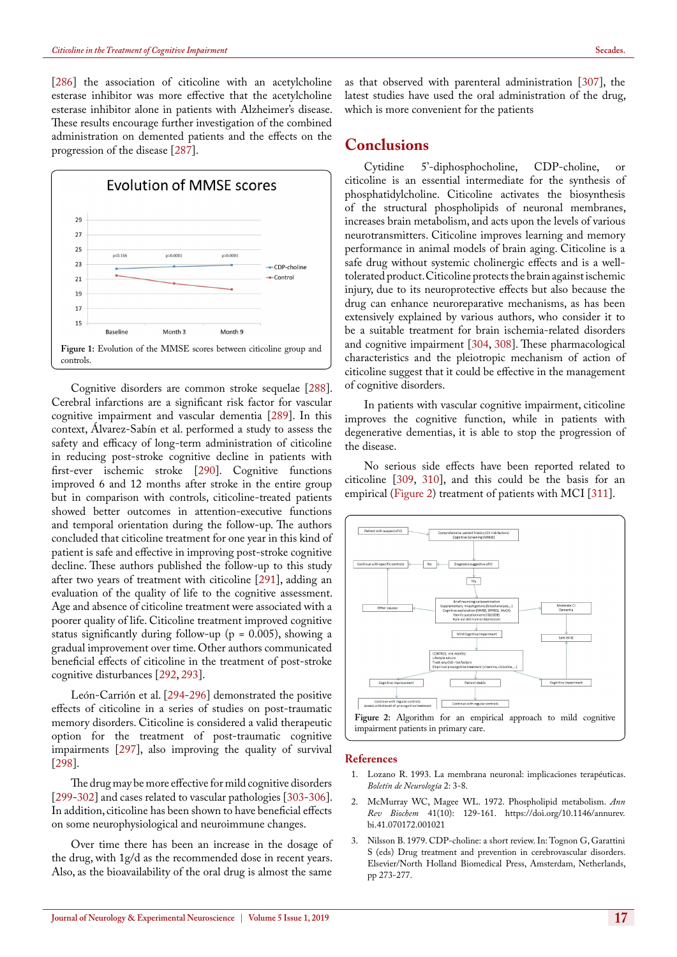[[286\]](#page-12-8) the association of citicoline with an acetylcholine esterase inhibitor was more effective that the acetylcholine esterase inhibitor alone in patients with Alzheimer's disease. These results encourage further investigation of the combined administration on demented patients and the effects on the progression of the disease [[287\]](#page-12-9).



<span id="page-3-2"></span>Cognitive disorders are common stroke sequelae [[288\]](#page-12-10). Cerebral infarctions are a significant risk factor for vascular cognitive impairment and vascular dementia [[289\]](#page-12-11). In this context, Álvarez-Sabín et al. performed a study to assess the safety and efficacy of long-term administration of citicoline in reducing post-stroke cognitive decline in patients with first-ever ischemic stroke [\[290](#page-12-12)]. Cognitive functions improved 6 and 12 months after stroke in the entire group but in comparison with controls, citicoline-treated patients showed better outcomes in attention-executive functions and temporal orientation during the follow-up. The authors concluded that citicoline treatment for one year in this kind of patient is safe and effective in improving post-stroke cognitive decline. These authors published the follow-up to this study after two years of treatment with citicoline [[291\]](#page-12-13), adding an evaluation of the quality of life to the cognitive assessment. Age and absence of citicoline treatment were associated with a poorer quality of life. Citicoline treatment improved cognitive status significantly during follow-up ( $p = 0.005$ ), showing a gradual improvement over time. Other authors communicated beneficial effects of citicoline in the treatment of post-stroke cognitive disturbances [\[292](#page-12-14), [293](#page-12-15)].

León-Carrión et al. [\[294](#page-12-16)[-296](#page-12-17)] demonstrated the positive effects of citicoline in a series of studies on post-traumatic memory disorders. Citicoline is considered a valid therapeutic option for the treatment of post-traumatic cognitive impairments [[297\]](#page-12-18), also improving the quality of survival [[298\]](#page-12-19).

The drug may be more effective for mild cognitive disorders [[299-](#page-12-20)[302\]](#page-12-21) and cases related to vascular pathologies [[303-](#page-12-22)[306\]](#page-12-23). In addition, citicoline has been shown to have beneficial effects on some neurophysiological and neuroimmune changes.

Over time there has been an increase in the dosage of the drug, with 1g/d as the recommended dose in recent years. Also, as the bioavailability of the oral drug is almost the same

as that observed with parenteral administration [[307\]](#page-12-24), the latest studies have used the oral administration of the drug, which is more convenient for the patients

# **Conclusions**

Cytidine 5'-diphosphocholine, CDP-choline, or citicoline is an essential intermediate for the synthesis of phosphatidylcholine. Citicoline activates the biosynthesis of the structural phospholipids of neuronal membranes, increases brain metabolism, and acts upon the levels of various neurotransmitters. Citicoline improves learning and memory performance in animal models of brain aging. Citicoline is a safe drug without systemic cholinergic effects and is a welltolerated product. Citicoline protects the brain against ischemic injury, due to its neuroprotective effects but also because the drug can enhance neuroreparative mechanisms, as has been extensively explained by various authors, who consider it to be a suitable treatment for brain ischemia-related disorders and cognitive impairment [[304,](#page-12-25) [308\]](#page-12-26). These pharmacological characteristics and the pleiotropic mechanism of action of citicoline suggest that it could be effective in the management of cognitive disorders.

In patients with vascular cognitive impairment, citicoline improves the cognitive function, while in patients with degenerative dementias, it is able to stop the progression of the disease.

No serious side effects have been reported related to citicoline [[309,](#page-12-27) [310](#page-12-28)], and this could be the basis for an empirical [\(Figure 2](#page-3-3)) treatment of patients with MCI [\[311](#page-12-29)].



#### <span id="page-3-3"></span>**References**

- <span id="page-3-0"></span>1. Lozano R. 1993. La membrana neuronal: implicaciones terapéuticas. *Boletín de Neurología* 2: 3-8.
- 2. [McMurray WC, Magee WL. 1972. Phospholipid metabolism.](https://www.ncbi.nlm.nih.gov/pubmed/4570957) *Ann Rev Biochem* [41\(10\): 129-161.](https://www.ncbi.nlm.nih.gov/pubmed/4570957) [https://doi.org/10.1146/annurev.](https://doi.org/10.1146/annurev.bi.41.070172.001021) [bi.41.070172.001021](https://doi.org/10.1146/annurev.bi.41.070172.001021)
- <span id="page-3-1"></span>3. Nilsson B. 1979. CDP-choline: a short review. In: Tognon G, Garattini S (eds) Drug treatment and prevention in cerebrovascular disorders. Elsevier/North Holland Biomedical Press, Amsterdam, Netherlands, pp 273-277.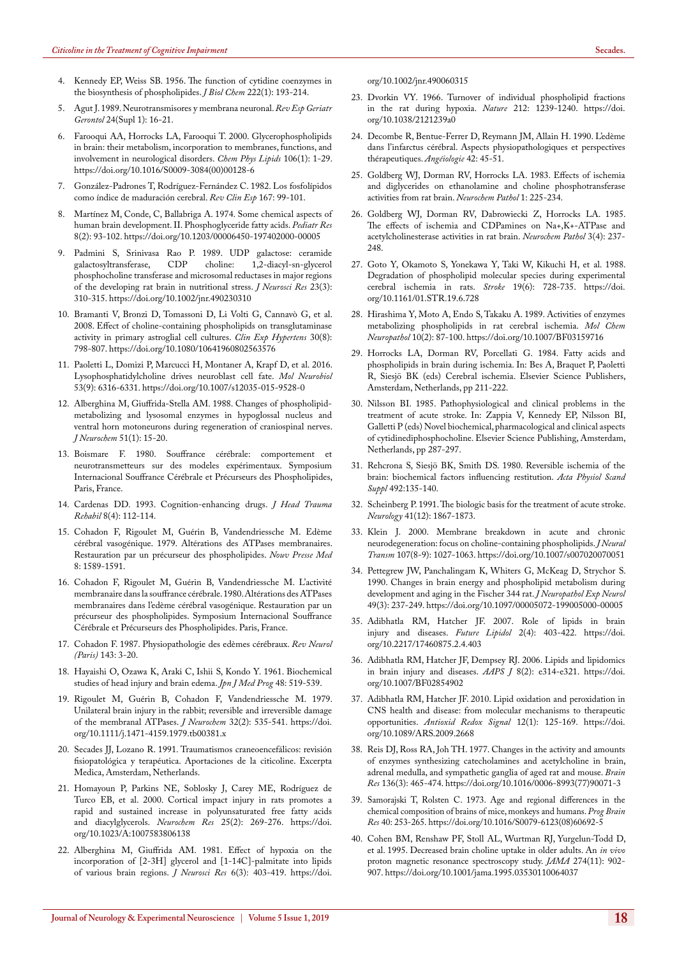- <span id="page-4-0"></span>4. [Kennedy EP, Weiss SB. 1956. The function of cytidine coenzymes in](https://www.ncbi.nlm.nih.gov/pubmed/13366993)  [the biosynthesis of phospholipides.](https://www.ncbi.nlm.nih.gov/pubmed/13366993) *J Biol Chem* 222(1): 193-214.
- <span id="page-4-1"></span>5. Agut J. 1989. Neurotransmisores y membrana neuronal. *Rev Esp Geriatr Gerontol* 24(Supl 1): 16-21.
- <span id="page-4-2"></span>6. [Farooqui AA, Horrocks LA, Farooqui T. 2000. Glycerophospholipids](https://www.ncbi.nlm.nih.gov/pubmed/10878232)  [in brain: their metabolism, incorporation to membranes, functions, and](https://www.ncbi.nlm.nih.gov/pubmed/10878232)  [involvement in neurological disorders.](https://www.ncbi.nlm.nih.gov/pubmed/10878232) *Chem Phys Lipids* 106(1): 1-29. [https://doi.org/10.1016/S0009-3084\(00\)00128-6](https://doi.org/10.1016/S0009-3084(00)00128-6)
- <span id="page-4-3"></span>7. González-Padrones T, Rodríguez-Fernández C. 1982. Los fosfolípidos como índice de maduración cerebral. *Rev Clin Esp* 167: 99-101.
- 8. [Martínez M, Conde, C, Ballabriga A. 1974. Some chemical aspects of](https://www.ncbi.nlm.nih.gov/pubmed/4810513)  [human brain development. II. Phosphoglyceride fatty acids.](https://www.ncbi.nlm.nih.gov/pubmed/4810513) *Pediatr Res* [8\(2\): 93-102.](https://www.ncbi.nlm.nih.gov/pubmed/4810513) <https://doi.org/10.1203/00006450-197402000-00005>
- 9. [Padmini S, Srinivasa Rao P. 1989. UDP galactose: ceramide](https://www.ncbi.nlm.nih.gov/pubmed/2549265)  [galactosyltransferase, CDP choline: 1,2-diacyl-sn-glycerol](https://www.ncbi.nlm.nih.gov/pubmed/2549265)  [phosphocholine transferase and microsomal reductases in major regions](https://www.ncbi.nlm.nih.gov/pubmed/2549265)  [of the developing rat brain in nutritional stress.](https://www.ncbi.nlm.nih.gov/pubmed/2549265) *J Neurosci Res* 23(3): [310-315.](https://www.ncbi.nlm.nih.gov/pubmed/2549265) <https://doi.org/10.1002/jnr.490230310>
- <span id="page-4-4"></span>10. [Bramanti V, Bronzi D, Tomassoni D, Li Volti G, Cannavò G, et al.](https://www.ncbi.nlm.nih.gov/pubmed/19021029)  [2008. Effect of choline-containing phospholipids on transglutaminase](https://www.ncbi.nlm.nih.gov/pubmed/19021029)  [activity in primary astroglial cell cultures.](https://www.ncbi.nlm.nih.gov/pubmed/19021029) *Clin Exp Hypertens* 30(8): [798-807.](https://www.ncbi.nlm.nih.gov/pubmed/19021029) <https://doi.org/10.1080/10641960802563576>
- <span id="page-4-5"></span>11. [Paoletti L, Domizi P, Marcucci H, Montaner A, Krapf D, et al. 2016.](https://www.ncbi.nlm.nih.gov/pubmed/26567110) [Lysophosphatidylcholine drives neuroblast cell fate.](https://www.ncbi.nlm.nih.gov/pubmed/26567110) *Mol Neurobiol* [53\(9\): 6316-6331.](https://www.ncbi.nlm.nih.gov/pubmed/26567110) <https://doi.org/10.1007/s12035-015-9528-0>
- <span id="page-4-6"></span>12. [Alberghina M, Giuffrida-Stella AM. 1988. Changes of phospholipid](https://www.ncbi.nlm.nih.gov/pubmed/2837534)[metabolizing and lysosomal enzymes in hypoglossal nucleus and](https://www.ncbi.nlm.nih.gov/pubmed/2837534)  [ventral horn motoneurons during regeneration of craniospinal nerves.](https://www.ncbi.nlm.nih.gov/pubmed/2837534)  *J Neurochem* [51\(1\): 15-20.](https://www.ncbi.nlm.nih.gov/pubmed/2837534)
- 13. Boismare F. 1980. Souffrance cérébrale: comportement et neurotransmetteurs sur des modeles expérimentaux. Symposium Internacional Souffrance Cérébrale et Précurseurs des Phospholipides, Paris, France.
- 14. [Cardenas DD. 1993. Cognition-enhancing drugs.](https://journals.lww.com/headtraumarehab/Citation/1993/12000/Cognition_enhancing_drugs.12.aspx) *J Head Trauma Rehabil* [8\(4\): 112-114.](https://journals.lww.com/headtraumarehab/Citation/1993/12000/Cognition_enhancing_drugs.12.aspx)
- 15. Cohadon F, Rigoulet M, Guérin B, Vandendriessche M. Edème cérébral vasogénique. 1979. Altérations des ATPases membranaires. Restauration par un précurseur des phospholipides. *Nouv Presse Med* 8: 1589-1591.
- 16. Cohadon F, Rigoulet M, Guérin B, Vandendriessche M. L'activité membranaire dans la souffrance cérébrale. 1980. Altérations des ATPases membranaires dans l'edème cérébral vasogénique. Restauration par un précurseur des phospholipides. Symposium Internacional Souffrance Cérébrale et Précurseurs des Phospholipides. Paris, France.
- 17. Cohadon F. 1987. Physiopathologie des edèmes cérébraux. *Rev Neurol (Paris)* 143: 3-20.
- 18. Hayaishi O, Ozawa K, Araki C, Ishii S, Kondo Y. 1961. Biochemical studies of head injury and brain edema. *Jpn J Med Prog* 48: 519-539.
- 19. [Rigoulet M, Guérin B, Cohadon F, Vandendriessche M. 1979.](https://www.ncbi.nlm.nih.gov/pubmed/216777)  [Unilateral brain injury in the rabbit; reversible and irreversible damage](https://www.ncbi.nlm.nih.gov/pubmed/216777)  [of the membranal ATPases.](https://www.ncbi.nlm.nih.gov/pubmed/216777) *J Neurochem* 32(2): 535-541. [https://doi.](https://doi.org/10.1111/j.1471-4159.1979.tb00381.x) [org/10.1111/j.1471-4159.1979.tb00381.x](https://doi.org/10.1111/j.1471-4159.1979.tb00381.x)
- 20. Secades JJ, Lozano R. 1991. Traumatismos craneoencefálicos: revisión fisiopatológica y terapéutica. Aportaciones de la citicoline. Excerpta Medica, Amsterdam, Netherlands.
- <span id="page-4-7"></span>21. [Homayoun P, Parkins NE, Soblosky J, Carey ME, Rodríguez de](https://www.ncbi.nlm.nih.gov/pubmed/10786712)  [Turco EB, et al. 2000. Cortical impact injury in rats promotes a](https://www.ncbi.nlm.nih.gov/pubmed/10786712)  [rapid and sustained increase in polyunsaturated free fatty acids](https://www.ncbi.nlm.nih.gov/pubmed/10786712)  [and diacylglycerols.](https://www.ncbi.nlm.nih.gov/pubmed/10786712) *Neurochem Res* 25(2): 269-276. [https://doi.](https://doi.org/10.1023/A:1007583806138) [org/10.1023/A:1007583806138](https://doi.org/10.1023/A:1007583806138)
- <span id="page-4-8"></span>22. [Alberghina M, Giuffrida AM. 1981. Effect of hypoxia on the](https://www.ncbi.nlm.nih.gov/pubmed/7299848)  [incorporation of \[2-3H\] glycerol and \[1-14C\]-palmitate into lipids](https://www.ncbi.nlm.nih.gov/pubmed/7299848)  [of various brain regions.](https://www.ncbi.nlm.nih.gov/pubmed/7299848) *J Neurosci Res* 6(3): 403-419. [https://doi.](https://doi.org/10.1002/jnr.490060315)

[org/10.1002/jnr.490060315](https://doi.org/10.1002/jnr.490060315)

- 23. [Dvorkin VY. 1966. Turnover of individual phospholipid fractions](https://www.nature.com/articles/2121239a0)  [in the rat during hypoxia.](https://www.nature.com/articles/2121239a0) *Nature* 212: 1239-1240. [https://doi.](https://doi.org/10.1038/2121239a0) [org/10.1038/2121239a0](https://doi.org/10.1038/2121239a0)
- 24. Decombe R, Bentue-Ferrer D, Reymann JM, Allain H. 1990. L'edème dans l'infarctus cérébral. Aspects physiopathologiques et perspectives thérapeutiques. *Angéiologie* 42: 45-51.
- 25. Goldberg WJ, Dorman RV, Horrocks LA. 1983. Effects of ischemia and diglycerides on ethanolamine and choline phosphotransferase activities from rat brain. *Neurochem Pathol* 1: 225-234.
- 26. [Goldberg WJ, Dorman RV, Dabrowiecki Z, Horrocks LA. 1985.](https://www.ncbi.nlm.nih.gov/pubmed/3008046)  [The effects of ischemia and CDPamines on Na+,K+-ATPase and](https://www.ncbi.nlm.nih.gov/pubmed/3008046)  [acetylcholinesterase activities in rat brain.](https://www.ncbi.nlm.nih.gov/pubmed/3008046) *Neurochem Pathol* 3(4): 237- [248.](https://www.ncbi.nlm.nih.gov/pubmed/3008046)
- 27. [Goto Y, Okamoto S, Yonekawa Y, Taki W, Kikuchi H, et al. 1988.](https://www.ncbi.nlm.nih.gov/pubmed/3376164)  [Degradation of phospholipid molecular species during experimental](https://www.ncbi.nlm.nih.gov/pubmed/3376164)  [cerebral ischemia in rats.](https://www.ncbi.nlm.nih.gov/pubmed/3376164) *Stroke* 19(6): 728-735. [https://doi.](https://doi.org/10.1161/01.STR.19.6.728) [org/10.1161/01.STR.19.6.728](https://doi.org/10.1161/01.STR.19.6.728)
- 28. [Hirashima Y, Moto A, Endo S, Takaku A. 1989. Activities of enzymes](https://www.ncbi.nlm.nih.gov/pubmed/2742639)  [metabolizing phospholipids in rat cerebral ischemia.](https://www.ncbi.nlm.nih.gov/pubmed/2742639) *Mol Chem Neuropathol* [10\(2\): 87-100.](https://www.ncbi.nlm.nih.gov/pubmed/2742639) <https://doi.org/10.1007/BF03159716>
- 29. Horrocks LA, Dorman RV, Porcellati G. 1984. Fatty acids and phospholipids in brain during ischemia. In: Bes A, Braquet P, Paoletti R, Siesjö BK (eds) Cerebral ischemia. Elsevier Science Publishers, Amsterdam, Netherlands, pp 211-222.
- 30. Nilsson BI. 1985. Pathophysiological and clinical problems in the treatment of acute stroke. In: Zappia V, Kennedy EP, Nilsson BI, Galletti P (eds) Novel biochemical, pharmacological and clinical aspects of cytidinediphosphocholine. Elsevier Science Publishing, Amsterdam, Netherlands, pp 287-297.
- 31. [Rehcrona S, Siesjö BK, Smith DS. 1980. Reversible ischemia of the](https://www.ncbi.nlm.nih.gov/pubmed/6939304)  [brain: biochemical factors influencing restitution.](https://www.ncbi.nlm.nih.gov/pubmed/6939304) *Acta Physiol Scand Suppl* [492:135-140.](https://www.ncbi.nlm.nih.gov/pubmed/6939304)
- 32. [Scheinberg P. 1991. The biologic basis for the treatment of acute stroke.](https://www.ncbi.nlm.nih.gov/pubmed/1745339)  *Neurology* [41\(12\): 1867-1873.](https://www.ncbi.nlm.nih.gov/pubmed/1745339)
- <span id="page-4-12"></span>33. [Klein J. 2000. Membrane breakdown in acute and chronic](https://www.ncbi.nlm.nih.gov/pubmed/11041281)  [neurodegeneration: focus on choline-containing phospholipids.](https://www.ncbi.nlm.nih.gov/pubmed/11041281) *J Neural Transm* [107\(8-9\): 1027-1063.](https://www.ncbi.nlm.nih.gov/pubmed/11041281) <https://doi.org/10.1007/s007020070051>
- 34. [Pettegrew JW, Panchalingam K, Whiters G, McKeag D, Strychor S.](https://www.ncbi.nlm.nih.gov/pubmed/2335783)  [1990. Changes in brain energy and phospholipid metabolism during](https://www.ncbi.nlm.nih.gov/pubmed/2335783)  [development and aging in the Fischer 344 rat.](https://www.ncbi.nlm.nih.gov/pubmed/2335783) *J Neuropathol Exp Neurol* [49\(3\): 237-249.](https://www.ncbi.nlm.nih.gov/pubmed/2335783) <https://doi.org/10.1097/00005072-199005000-00005>
- 35. [Adibhatla RM, Hatcher JF. 2007. Role of lipids in brain](https://www.ncbi.nlm.nih.gov/pubmed/18176634)  [injury and diseases.](https://www.ncbi.nlm.nih.gov/pubmed/18176634) *Future Lipidol* 2(4): 403-422. [https://doi.](https://doi.org/10.2217/17460875.2.4.403) [org/10.2217/17460875.2.4.403](https://doi.org/10.2217/17460875.2.4.403)
- 36. [Adibhatla RM, Hatcher JF, Dempsey RJ. 2006. Lipids and lipidomics](https://www.ncbi.nlm.nih.gov/pubmed/16796382)  [in brain injury and diseases.](https://www.ncbi.nlm.nih.gov/pubmed/16796382) *AAPS J* 8(2): e314-e321. [https://doi.](https://doi.org/10.1007/BF02854902) [org/10.1007/BF02854902](https://doi.org/10.1007/BF02854902)
- <span id="page-4-9"></span>37. [Adibhatla RM, Hatcher JF. 2010. Lipid oxidation and peroxidation in](https://www.ncbi.nlm.nih.gov/pubmed/19624272)  [CNS health and disease: from molecular mechanisms to therapeutic](https://www.ncbi.nlm.nih.gov/pubmed/19624272)  opportunities. *[Antioxid Redox Signal](https://www.ncbi.nlm.nih.gov/pubmed/19624272)* 12(1): 125-169. [https://doi.](https://doi.org/10.1089/ARS.2009.2668) [org/10.1089/ARS.2009.2668](https://doi.org/10.1089/ARS.2009.2668)
- <span id="page-4-10"></span>38. [Reis DJ, Ross RA, Joh TH. 1977. Changes in the activity and amounts](https://www.ncbi.nlm.nih.gov/pubmed/21723)  [of enzymes synthesizing catecholamines and acetylcholine in brain,](https://www.ncbi.nlm.nih.gov/pubmed/21723)  [adrenal medulla, and sympathetic ganglia of aged rat and mouse.](https://www.ncbi.nlm.nih.gov/pubmed/21723) *Brain Res* [136\(3\): 465-474.](https://www.ncbi.nlm.nih.gov/pubmed/21723) [https://doi.org/10.1016/0006-8993\(77\)90071-3](https://doi.org/10.1016/0006-8993(77)90071-3)
- 39. [Samorajski T, Rolsten C. 1973. Age and regional differences in the](https://www.ncbi.nlm.nih.gov/pubmed/4802687)  [chemical composition of brains of mice, monkeys and humans.](https://www.ncbi.nlm.nih.gov/pubmed/4802687) *Prog Brain Res* [40: 253-265.](https://www.ncbi.nlm.nih.gov/pubmed/4802687) [https://doi.org/10.1016/S0079-6123\(08\)60692-5](https://doi.org/10.1016/S0079-6123(08)60692-5)
- <span id="page-4-11"></span>40. [Cohen BM, Renshaw PF, Stoll AL, Wurtman RJ, Yurgelun-Todd D,](https://www.ncbi.nlm.nih.gov/pubmed/7674505)  [et al. 1995. Decreased brain choline uptake in older adults. An](https://www.ncbi.nlm.nih.gov/pubmed/7674505) *in vivo* [proton magnetic resonance spectroscopy study.](https://www.ncbi.nlm.nih.gov/pubmed/7674505) *JAMA* 274(11): 902- [907.](https://www.ncbi.nlm.nih.gov/pubmed/7674505) <https://doi.org/10.1001/jama.1995.03530110064037>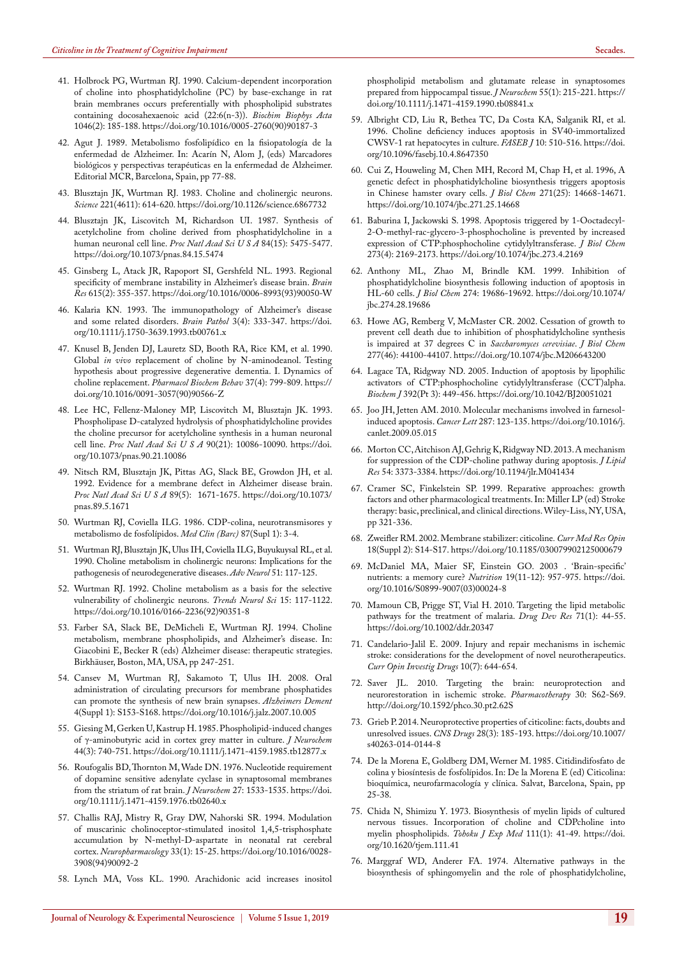- <span id="page-5-0"></span>41. [Holbrock PG, Wurtman RJ. 1990. Calcium-dependent incorporation](https://www.ncbi.nlm.nih.gov/pubmed/2171666)  [of choline into phosphatidylcholine \(PC\) by base-exchange in rat](https://www.ncbi.nlm.nih.gov/pubmed/2171666)  [brain membranes occurs preferentially with phospholipid substrates](https://www.ncbi.nlm.nih.gov/pubmed/2171666)  [containing docosahexaenoic acid \(22:6\(n-3\)\).](https://www.ncbi.nlm.nih.gov/pubmed/2171666) *Biochim Biophys Acta* [1046\(2\): 185-188.](https://www.ncbi.nlm.nih.gov/pubmed/2171666) [https://doi.org/10.1016/0005-2760\(90\)90187-3](https://doi.org/10.1016/0005-2760(90)90187-3)
- 42. Agut J. 1989. Metabolismo fosfolipídico en la fisiopatología de la enfermedad de Alzheimer. In: Acarín N, Alom J, (eds) Marcadores biológicos y perspectivas terapéuticas en la enfermedad de Alzheimer. Editorial MCR, Barcelona, Spain, pp 77-88.
- 43. [Blusztajn JK, Wurtman RJ. 1983. Choline and cholinergic neurons.](https://www.ncbi.nlm.nih.gov/pubmed/6867732)  *Science* [221\(4611\): 614-620.](https://www.ncbi.nlm.nih.gov/pubmed/6867732) <https://doi.org/10.1126/science.6867732>
- 44. [Blusztajn JK, Liscovitch M, Richardson UI. 1987. Synthesis of](https://www.ncbi.nlm.nih.gov/pubmed/3474663)  [acetylcholine from choline derived from phosphatidylcholine in a](https://www.ncbi.nlm.nih.gov/pubmed/3474663)  [human neuronal cell line.](https://www.ncbi.nlm.nih.gov/pubmed/3474663) *Proc Natl Acad Sci U S A* 84(15): 5475-5477. <https://doi.org/10.1073/pnas.84.15.5474>
- 45. [Ginsberg L, Atack JR, Rapoport SI, Gershfeld NL. 1993. Regional](https://www.ncbi.nlm.nih.gov/pubmed/8364743)  [specificity of membrane instability in Alzheimer's disease brain.](https://www.ncbi.nlm.nih.gov/pubmed/8364743) *Brain Res* [615\(2\): 355-357.](https://www.ncbi.nlm.nih.gov/pubmed/8364743) [https://doi.org/10.1016/0006-8993\(93\)90050-W](https://doi.org/10.1016/0006-8993(93)90050-W)
- 46. [Kalaria KN. 1993. The immunopathology of Alzheimer's disease](https://www.ncbi.nlm.nih.gov/pubmed/8293190)  [and some related disorders.](https://www.ncbi.nlm.nih.gov/pubmed/8293190) *Brain Pathol* 3(4): 333-347. [https://doi.](https://doi.org/10.1111/j.1750-3639.1993.tb00761.x) [org/10.1111/j.1750-3639.1993.tb00761.x](https://doi.org/10.1111/j.1750-3639.1993.tb00761.x)
- 47. [Knusel B, Jenden DJ, Lauretz SD, Booth RA, Rice KM, et al. 1990.](https://www.ncbi.nlm.nih.gov/pubmed/1982695)  Global *in vivo* [replacement of choline by N-aminodeanol. Testing](https://www.ncbi.nlm.nih.gov/pubmed/1982695)  [hypothesis about progressive degenerative dementia. I. Dynamics of](https://www.ncbi.nlm.nih.gov/pubmed/1982695)  choline replacement. *[Pharmacol Biochem Behav](https://www.ncbi.nlm.nih.gov/pubmed/1982695)* 37(4): 799-809. [https://](https://doi.org/10.1016/0091-3057(90)90566-Z) [doi.org/10.1016/0091-3057\(90\)90566-Z](https://doi.org/10.1016/0091-3057(90)90566-Z)
- 48. [Lee HC, Fellenz-Maloney MP, Liscovitch M, Blusztajn JK. 1993.](https://www.ncbi.nlm.nih.gov/pubmed/8234260)  [Phospholipase D-catalyzed hydrolysis of phosphatidylcholine provides](https://www.ncbi.nlm.nih.gov/pubmed/8234260)  [the choline precursor for acetylcholine synthesis in a human neuronal](https://www.ncbi.nlm.nih.gov/pubmed/8234260)  cell line. *[Proc Natl Acad Sci U S A](https://www.ncbi.nlm.nih.gov/pubmed/8234260)* 90(21): 10086-10090. [https://doi.](https://doi.org/10.1073/pnas.90.21.10086) [org/10.1073/pnas.90.21.10086](https://doi.org/10.1073/pnas.90.21.10086)
- 49. [Nitsch RM, Blusztajn JK, Pittas AG, Slack BE, Growdon JH, et al.](https://www.ncbi.nlm.nih.gov/pubmed/1311847)  [1992. Evidence for a membrane defect in Alzheimer disease brain.](https://www.ncbi.nlm.nih.gov/pubmed/1311847)  *[Proc Natl Acad Sci U S A](https://www.ncbi.nlm.nih.gov/pubmed/1311847)* 89(5): 1671-1675. [https://doi.org/10.1073/](https://doi.org/10.1073/pnas.89.5.1671) [pnas.89.5.1671](https://doi.org/10.1073/pnas.89.5.1671)
- 50. Wurtman RJ, Coviella ILG. 1986. CDP-colina, neurotransmisores y metabolismo de fosfolípidos. *Med Clin (Barc)* 87(Supl 1): 3-4.
- 51. [Wurtman RJ, Blusztajn JK, Ulus IH, Coviella ILG, Buyukuysal RL, et al.](https://www.ncbi.nlm.nih.gov/pubmed/2403709)  [1990. Choline metabolism in cholinergic neurons: Implications for the](https://www.ncbi.nlm.nih.gov/pubmed/2403709)  [pathogenesis of neurodegenerative diseases.](https://www.ncbi.nlm.nih.gov/pubmed/2403709) *Adv Neurol* 51: 117-125.
- 52. [Wurtman RJ. 1992. Choline metabolism as a basis for the selective](https://www.ncbi.nlm.nih.gov/pubmed/1374967)  [vulnerability of cholinergic neurons.](https://www.ncbi.nlm.nih.gov/pubmed/1374967) *Trends Neurol Sci* 15: 117-1122. [https://doi.org/10.1016/0166-2236\(92\)90351-8](https://doi.org/10.1016/0166-2236(92)90351-8)
- <span id="page-5-1"></span>53. Farber SA, Slack BE, DeMicheli E, Wurtman RJ. 1994. Choline metabolism, membrane phospholipids, and Alzheimer's disease. In: Giacobini E, Becker R (eds) Alzheimer disease: therapeutic strategies. Birkhäuser, Boston, MA, USA, pp 247-251.
- <span id="page-5-2"></span>54. [Cansev M, Wurtman RJ, Sakamoto T, Ulus IH. 2008. Oral](https://www.ncbi.nlm.nih.gov/pubmed/18631994)  [administration of circulating precursors for membrane phosphatides](https://www.ncbi.nlm.nih.gov/pubmed/18631994)  [can promote the synthesis of new brain synapses.](https://www.ncbi.nlm.nih.gov/pubmed/18631994) *Alzheimers Dement* [4\(Suppl 1\): S153-S168.](https://www.ncbi.nlm.nih.gov/pubmed/18631994) <https://doi.org/10.1016/j.jalz.2007.10.005>
- <span id="page-5-3"></span>55. [Giesing M, Gerken U, Kastrup H. 1985. Phospholipid-induced changes](https://www.ncbi.nlm.nih.gov/pubmed/3973590)  of γ[-aminobutyric acid in cortex grey matter in culture.](https://www.ncbi.nlm.nih.gov/pubmed/3973590) *J Neurochem* [44\(3\): 740-751.](https://www.ncbi.nlm.nih.gov/pubmed/3973590) <https://doi.org/10.1111/j.1471-4159.1985.tb12877.x>
- 56. [Roufogalis BD, Thornton M, Wade DN. 1976. Nucleotide requirement](https://www.ncbi.nlm.nih.gov/pubmed/1003228)  [of dopamine sensitive adenylate cyclase in synaptosomal membranes](https://www.ncbi.nlm.nih.gov/pubmed/1003228)  [from the striatum of rat brain.](https://www.ncbi.nlm.nih.gov/pubmed/1003228) *J Neurochem* 27: 1533-1535. [https://doi.](https://doi.org/10.1111/j.1471-4159.1976.tb02640.x) [org/10.1111/j.1471-4159.1976.tb02640.x](https://doi.org/10.1111/j.1471-4159.1976.tb02640.x)
- <span id="page-5-7"></span>57. [Challis RAJ, Mistry R, Gray DW, Nahorski SR. 1994. Modulation](https://www.ncbi.nlm.nih.gov/pubmed/7910385)  [of muscarinic cholinoceptor-stimulated inositol 1,4,5-trisphosphate](https://www.ncbi.nlm.nih.gov/pubmed/7910385)  [accumulation by N-methyl-D-aspartate in neonatal rat cerebral](https://www.ncbi.nlm.nih.gov/pubmed/7910385)  cortex. *[Neuropharmacology](https://www.ncbi.nlm.nih.gov/pubmed/7910385)* 33(1): 15-25. [https://doi.org/10.1016/0028-](https://doi.org/10.1016/0028-3908(94)90092-2) [3908\(94\)90092-2](https://doi.org/10.1016/0028-3908(94)90092-2)
- <span id="page-5-4"></span>58. [Lynch MA, Voss KL. 1990. Arachidonic acid increases inositol](https://www.ncbi.nlm.nih.gov/pubmed/1972388)

[phospholipid metabolism and glutamate release in synaptosomes](https://www.ncbi.nlm.nih.gov/pubmed/1972388)  [prepared from hippocampal tissue.](https://www.ncbi.nlm.nih.gov/pubmed/1972388) *J Neurochem* 55(1): 215-221. [https://](https://doi.org/10.1111/j.1471-4159.1990.tb08841.x) [doi.org/10.1111/j.1471-4159.1990.tb08841.x](https://doi.org/10.1111/j.1471-4159.1990.tb08841.x)

- <span id="page-5-5"></span>59. [Albright CD, Liu R, Bethea TC, Da Costa KA, Salganik RI, et al.](https://www.ncbi.nlm.nih.gov/pubmed/8647350)  [1996. Choline deficiency induces apoptosis in SV40-immortalized](https://www.ncbi.nlm.nih.gov/pubmed/8647350)  [CWSV-1 rat hepatocytes in culture.](https://www.ncbi.nlm.nih.gov/pubmed/8647350) *FASEB J* 10: 510-516. [https://doi.](https://doi.org/10.1096/fasebj.10.4.8647350) [org/10.1096/fasebj.10.4.8647350](https://doi.org/10.1096/fasebj.10.4.8647350)
- <span id="page-5-6"></span>60. [Cui Z, Houweling M, Chen MH, Record M, Chap H, et al. 1996, A](https://www.ncbi.nlm.nih.gov/pubmed/8663247)  [genetic defect in phosphatidylcholine biosynthesis triggers apoptosis](https://www.ncbi.nlm.nih.gov/pubmed/8663247)  [in Chinese hamster ovary cells.](https://www.ncbi.nlm.nih.gov/pubmed/8663247) *J Biol Chem* 271(25): 14668-14671. <https://doi.org/10.1074/jbc.271.25.14668>
- 61. [Baburina I, Jackowski S. 1998. Apoptosis triggered by 1-Ooctadecyl-](https://www.ncbi.nlm.nih.gov/pubmed/9442058)[2-O-methyl-rac-glycero-3-phosphocholine is prevented by increased](https://www.ncbi.nlm.nih.gov/pubmed/9442058)  [expression of CTP:phosphocholine cytidylyltransferase.](https://www.ncbi.nlm.nih.gov/pubmed/9442058) *J Biol Chem* [273\(4\): 2169-2173.](https://www.ncbi.nlm.nih.gov/pubmed/9442058) <https://doi.org/10.1074/jbc.273.4.2169>
- 62. [Anthony ML, Zhao M, Brindle KM. 1999. Inhibition of](https://www.ncbi.nlm.nih.gov/pubmed/10391908)  [phosphatidylcholine biosynthesis following induction of apoptosis in](https://www.ncbi.nlm.nih.gov/pubmed/10391908)  HL-60 cells. *J Biol Chem* [274: 19686-19692.](https://www.ncbi.nlm.nih.gov/pubmed/10391908) [https://doi.org/10.1074/](https://doi.org/10.1074/jbc.274.28.19686) [jbc.274.28.19686](https://doi.org/10.1074/jbc.274.28.19686)
- 63. [Howe AG, Remberg V, McMaster CR. 2002. Cessation of growth to](https://www.ncbi.nlm.nih.gov/pubmed/12200438)  [prevent cell death due to inhibition of phosphatidylcholine synthesis](https://www.ncbi.nlm.nih.gov/pubmed/12200438)  [is impaired at 37 degrees C in](https://www.ncbi.nlm.nih.gov/pubmed/12200438) *Saccharomyces cerevisiae*. *J Biol Chem*  [277\(46\): 44100-44107.](https://www.ncbi.nlm.nih.gov/pubmed/12200438) <https://doi.org/10.1074/jbc.M206643200>
- 64. [Lagace TA, Ridgway ND. 2005. Induction of apoptosis by lipophilic](https://www.ncbi.nlm.nih.gov/pubmed/16097951)  [activators of CTP:phosphocholine cytidylyltransferase \(CCT\)alpha.](https://www.ncbi.nlm.nih.gov/pubmed/16097951)  *Biochem J* [392\(Pt 3\): 449-456.](https://www.ncbi.nlm.nih.gov/pubmed/16097951) <https://doi.org/10.1042/BJ20051021>
- 65. [Joo JH, Jetten AM. 2010. Molecular mechanisms involved in farnesol](https://www.ncbi.nlm.nih.gov/pubmed/19520495)[induced apoptosis.](https://www.ncbi.nlm.nih.gov/pubmed/19520495) *Cancer Lett* 287: 123-135. [https://doi.org/10.1016/j.](https://doi.org/10.1016/j.canlet.2009.05.015%20) [canlet.2009.05.015](https://doi.org/10.1016/j.canlet.2009.05.015%20)
- <span id="page-5-8"></span>66. [Morton CC, Aitchison AJ, Gehrig K, Ridgway ND. 2013. A mechanism](https://www.ncbi.nlm.nih.gov/pubmed/24136823)  [for suppression of the CDP-choline pathway during apoptosis.](https://www.ncbi.nlm.nih.gov/pubmed/24136823) *J Lipid Res* [54: 3373-3384.](https://www.ncbi.nlm.nih.gov/pubmed/24136823) <https://doi.org/10.1194/jlr.M041434>
- <span id="page-5-9"></span>67. Cramer SC, Finkelstein SP. 1999. Reparative approaches: growth factors and other pharmacological treatments. In: Miller LP (ed) Stroke therapy: basic, preclinical, and clinical directions. Wiley-Liss, NY, USA, pp 321-336.
- 68. [Zweifler RM. 2002. Membrane stabilizer: citicoline](https://www.ncbi.nlm.nih.gov/pubmed/12365823)*. Curr Med Res Opin* [18\(Suppl 2\): S14-S17.](https://www.ncbi.nlm.nih.gov/pubmed/12365823) <https://doi.org/10.1185/030079902125000679>
- 69. [McDaniel MA, Maier SF, Einstein GO. 2003 . 'Brain-specific'](https://www.ncbi.nlm.nih.gov/pubmed/14624946)  [nutrients: a memory cure?](https://www.ncbi.nlm.nih.gov/pubmed/14624946) *Nutrition* 19(11-12): 957-975. [https://doi.](https://doi.org/10.1016/S0899-9007(03)00024-8) [org/10.1016/S0899-9007\(03\)00024-8](https://doi.org/10.1016/S0899-9007(03)00024-8)
- 70. [Mamoun CB, Prigge ST, Vial H. 2010. Targeting the lipid metabolic](https://www.ncbi.nlm.nih.gov/pubmed/20559451)  [pathways for the treatment of malaria.](https://www.ncbi.nlm.nih.gov/pubmed/20559451) *Drug Dev Res* 71(1): 44-55. <https://doi.org/10.1002/ddr.20347>
- 71. [Candelario-Jalil E. 2009. Injury and repair mechanisms in ischemic](https://www.ncbi.nlm.nih.gov/pubmed/19579170)  [stroke: considerations for the development of novel neurotherapeutics.](https://www.ncbi.nlm.nih.gov/pubmed/19579170)  *[Curr Opin Investig Drugs](https://www.ncbi.nlm.nih.gov/pubmed/19579170)* 10(7): 644-654.
- <span id="page-5-10"></span>72. [Saver JL. 2010. Targeting the brain: neuroprotection and](https://www.ncbi.nlm.nih.gov/pubmed/20410866)  [neurorestoration in ischemic stroke.](https://www.ncbi.nlm.nih.gov/pubmed/20410866) *Pharmacotherapy* 30: S62-S69. <http://doi.org/10.1592/phco.30.pt2.62S>
- <span id="page-5-11"></span>73. [Grieb P. 2014. Neuroprotective properties of citicoline: facts, doubts and](https://www.ncbi.nlm.nih.gov/pubmed/24504829)  [unresolved issues.](https://www.ncbi.nlm.nih.gov/pubmed/24504829) *CNS Drugs* 28(3): 185-193. [https://doi.org/10.1007/](https://doi.org/10.1007/s40263-014-0144-8) [s40263-014-0144-8](https://doi.org/10.1007/s40263-014-0144-8)
- 74. De la Morena E, Goldberg DM, Werner M. 1985. Citidindifosfato de colina y biosíntesis de fosfolípidos. In: De la Morena E (ed) Citicolina: bioquímica, neurofarmacología y clínica. Salvat, Barcelona, Spain, pp 25-38.
- 75. [Chida N, Shimizu Y. 1973. Biosynthesis of myelin lipids of cultured](https://www.ncbi.nlm.nih.gov/pubmed/4776736)  [nervous tissues. Incorporation of choline and CDPcholine into](https://www.ncbi.nlm.nih.gov/pubmed/4776736)  [myelin phospholipids.](https://www.ncbi.nlm.nih.gov/pubmed/4776736) *Tohoku J Exp Med* 111(1): 41-49. [https://doi.](https://doi.org/10.1620/tjem.111.41) [org/10.1620/tjem.111.41](https://doi.org/10.1620/tjem.111.41)
- 76. [Marggraf WD, Anderer FA. 1974. Alternative pathways in the](https://www.ncbi.nlm.nih.gov/pubmed/4474135)  [biosynthesis of sphingomyelin and the role of phosphatidylcholine,](https://www.ncbi.nlm.nih.gov/pubmed/4474135)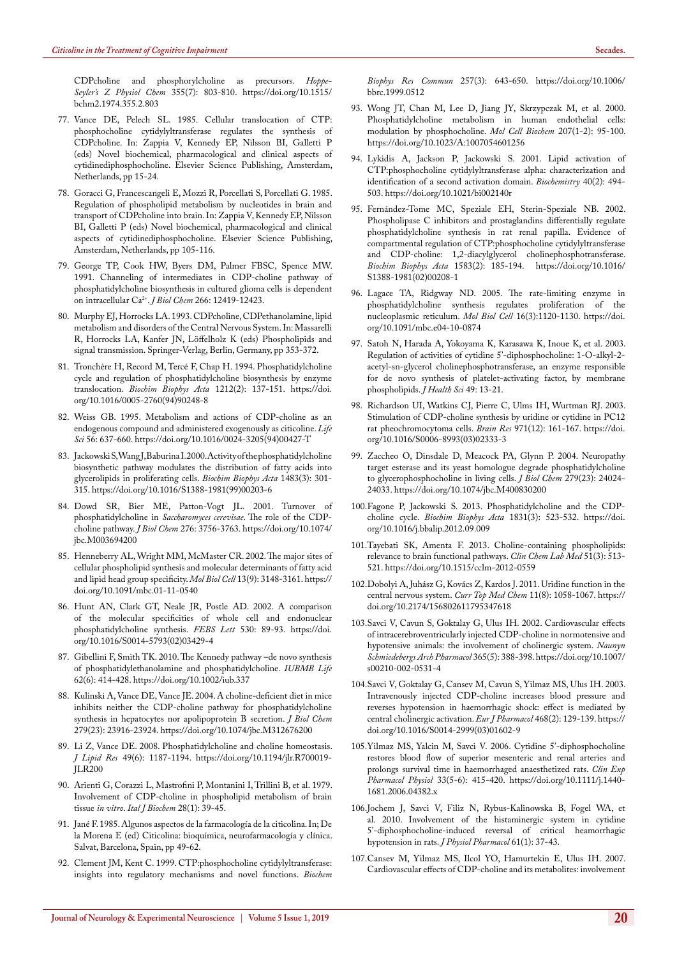[CDPcholine and phosphorylcholine as precursors.](https://www.ncbi.nlm.nih.gov/pubmed/4474135) *Hoppe-[Seyler's Z Physiol Chem](https://www.ncbi.nlm.nih.gov/pubmed/4474135)* 355(7): 803-810. [https://doi.org/10.1515/](https://doi.org/10.1515/bchm2.1974.355.2.803) [bchm2.1974.355.2.803](https://doi.org/10.1515/bchm2.1974.355.2.803)

- <span id="page-6-1"></span>77. Vance DE, Pelech SL. 1985. Cellular translocation of CTP: phosphocholine cytidylyltransferase regulates the synthesis of CDPcholine. In: Zappia V, Kennedy EP, Nilsson BI, Galletti P (eds) Novel biochemical, pharmacological and clinical aspects of cytidinediphosphocholine. Elsevier Science Publishing, Amsterdam, Netherlands, pp 15-24.
- 78. Goracci G, Francescangeli E, Mozzi R, Porcellati S, Porcellati G. 1985. Regulation of phospholipid metabolism by nucleotides in brain and transport of CDPcholine into brain. In: Zappia V, Kennedy EP, Nilsson BI, Galletti P (eds) Novel biochemical, pharmacological and clinical aspects of cytidinediphosphocholine. Elsevier Science Publishing, Amsterdam, Netherlands, pp 105-116.
- 79. [George TP, Cook HW, Byers DM, Palmer FBSC, Spence MW.](https://www.ncbi.nlm.nih.gov/pubmed/2061317)  [1991. Channeling of intermediates in CDP-choline pathway of](https://www.ncbi.nlm.nih.gov/pubmed/2061317)  [phosphatidylcholine biosynthesis in cultured glioma cells is dependent](https://www.ncbi.nlm.nih.gov/pubmed/2061317)  [on intracellular Ca2+.](https://www.ncbi.nlm.nih.gov/pubmed/2061317) *J Biol Chem* 266: 12419-12423.
- 80. Murphy EJ, Horrocks LA. 1993. CDPcholine, CDPethanolamine, lipid metabolism and disorders of the Central Nervous System. In: Massarelli R, Horrocks LA, Kanfer JN, Löffelholz K (eds) Phospholipids and signal transmission. Springer-Verlag, Berlin, Germany, pp 353-372.
- 81. [Tronchère H, Record M, Tercé F, Chap H. 1994. Phosphatidylcholine](https://www.ncbi.nlm.nih.gov/pubmed/8180240)  [cycle and regulation of phosphatidylcholine biosynthesis by enzyme](https://www.ncbi.nlm.nih.gov/pubmed/8180240)  translocation. *[Biochim Biophys Acta](https://www.ncbi.nlm.nih.gov/pubmed/8180240)* 1212(2): 137-151. [https://doi.](https://doi.org/10.1016/0005-2760(94)90248-8) [org/10.1016/0005-2760\(94\)90248-8](https://doi.org/10.1016/0005-2760(94)90248-8)
- 82. [Weiss GB. 1995. Metabolism and actions of CDP-choline as an](https://www.ncbi.nlm.nih.gov/pubmed/7869846)  [endogenous compound and administered exogenously as citicoline.](https://www.ncbi.nlm.nih.gov/pubmed/7869846) *Life Sci* [56: 637-660.](https://www.ncbi.nlm.nih.gov/pubmed/7869846) [https://doi.org/10.1016/0024-3205\(94\)00427-T](https://doi.org/10.1016/0024-3205(94)00427-T)
- 83. [Jackowski S, Wang J, Baburina I. 2000. Activity of the phosphatidylcholine](https://www.ncbi.nlm.nih.gov/pubmed/10666565)  [biosynthetic pathway modulates the distribution of fatty acids into](https://www.ncbi.nlm.nih.gov/pubmed/10666565)  [glycerolipids in proliferating cells.](https://www.ncbi.nlm.nih.gov/pubmed/10666565) *Biochim Biophys Acta* 1483(3): 301- [315.](https://www.ncbi.nlm.nih.gov/pubmed/10666565) [https://doi.org/10.1016/S1388-1981\(99\)00203-6](https://doi.org/10.1016/S1388-1981(99)00203-6)
- 84. [Dowd SR, Bier ME, Patton-Vogt JL. 2001. Turnover of](https://www.ncbi.nlm.nih.gov/pubmed/11078727)  phosphatidylcholine in *Saccharomyces cerevisae*[. The role of the CDP](https://www.ncbi.nlm.nih.gov/pubmed/11078727)[choline pathway.](https://www.ncbi.nlm.nih.gov/pubmed/11078727) *J Biol Chem* 276: 3756-3763. [https://doi.org/10.1074/](https://doi.org/10.1074/jbc.M003694200) [jbc.M003694200](https://doi.org/10.1074/jbc.M003694200)
- 85. [Henneberry AL, Wright MM, McMaster CR. 2002. The major sites of](https://www.ncbi.nlm.nih.gov/pubmed/12221122)  [cellular phospholipid synthesis and molecular determinants of fatty acid](https://www.ncbi.nlm.nih.gov/pubmed/12221122)  [and lipid head group specificity.](https://www.ncbi.nlm.nih.gov/pubmed/12221122) *Mol Biol Cell* 13(9): 3148-3161. [https://](https://doi.org/10.1091/mbc.01-11-0540) [doi.org/10.1091/mbc.01-11-0540](https://doi.org/10.1091/mbc.01-11-0540)
- 86. [Hunt AN, Clark GT, Neale JR, Postle AD. 2002. A comparison](https://www.ncbi.nlm.nih.gov/pubmed/12387872)  [of the molecular specificities of whole cell and endonuclear](https://www.ncbi.nlm.nih.gov/pubmed/12387872)  [phosphatidylcholine synthesis.](https://www.ncbi.nlm.nih.gov/pubmed/12387872) *FEBS Lett* 530: 89-93. [https://doi.](https://doi.org/10.1016/S0014-5793(02)03429-4) [org/10.1016/S0014-5793\(02\)03429-4](https://doi.org/10.1016/S0014-5793(02)03429-4)
- <span id="page-6-0"></span>87. [Gibellini F, Smith TK. 2010. The Kennedy pathway –de novo synthesis](https://www.ncbi.nlm.nih.gov/pubmed/20503434)  [of phosphatidylethanolamine and phosphatidylcholine.](https://www.ncbi.nlm.nih.gov/pubmed/20503434) *IUBMB Life* [62\(6\): 414-428.](https://www.ncbi.nlm.nih.gov/pubmed/20503434) <https://doi.org/10.1002/iub.337>
- <span id="page-6-2"></span>88. [Kulinski A, Vance DE, Vance JE. 2004. A choline-deficient diet in mice](https://www.ncbi.nlm.nih.gov/pubmed/15024002)  [inhibits neither the CDP-choline pathway for phosphatidylcholine](https://www.ncbi.nlm.nih.gov/pubmed/15024002)  [synthesis in hepatocytes nor apolipoprotein B secretion.](https://www.ncbi.nlm.nih.gov/pubmed/15024002) *J Biol Chem* [279\(23\): 23916-23924.](https://www.ncbi.nlm.nih.gov/pubmed/15024002) <https://doi.org/10.1074/jbc.M312676200>
- 89. [Li Z, Vance DE. 2008. Phosphatidylcholine and choline homeostasis.](https://www.ncbi.nlm.nih.gov/pubmed/18204095)  *J Lipid Res* [49\(6\): 1187-1194.](https://www.ncbi.nlm.nih.gov/pubmed/18204095) [https://doi.org/10.1194/jlr.R700019-](https://doi.org/10.1194/jlr.R700019-JLR200) [JLR200](https://doi.org/10.1194/jlr.R700019-JLR200)
- 90. [Arienti G, Corazzi L, Mastrofini P, Montanini I, Trillini B, et al. 1979.](https://www.ncbi.nlm.nih.gov/pubmed/553079)  [Involvement of CDP-choline in phospholipid metabolism of brain](https://www.ncbi.nlm.nih.gov/pubmed/553079)  tissue *in vitro*. *Ital J Biochem* [28\(1\): 39-45.](https://www.ncbi.nlm.nih.gov/pubmed/553079)
- 91. Jané F. 1985. Algunos aspectos de la farmacología de la citicolina. In; De la Morena E (ed) Citicolina: bioquímica, neurofarmacología y clínica. Salvat, Barcelona, Spain, pp 49-62.
- 92. [Clement JM, Kent C. 1999. CTP:phosphocholine cytidylyltransferase:](https://www.ncbi.nlm.nih.gov/pubmed/10208837)  [insights into regulatory mechanisms and novel functions.](https://www.ncbi.nlm.nih.gov/pubmed/10208837) *Biochem*

*[Biophys Res Commun](https://www.ncbi.nlm.nih.gov/pubmed/10208837)* 257(3): 643-650. [https://doi.org/10.1006/](https://doi.org/10.1006/bbrc.1999.0512) [bbrc.1999.0512](https://doi.org/10.1006/bbrc.1999.0512)

- 93. [Wong JT, Chan M, Lee D, Jiang JY, Skrzypczak M, et al. 2000.](https://www.ncbi.nlm.nih.gov/pubmed/10888232)  [Phosphatidylcholine metabolism in human endothelial cells:](https://www.ncbi.nlm.nih.gov/pubmed/10888232)  [modulation by phosphocholine.](https://www.ncbi.nlm.nih.gov/pubmed/10888232) *Mol Cell Biochem* 207(1-2): 95-100. <https://doi.org/10.1023/A:1007054601256>
- 94. [Lykidis A, Jackson P, Jackowski S. 2001. Lipid activation of](https://www.ncbi.nlm.nih.gov/pubmed/11148044)  [CTP:phosphocholine cytidylyltransferase alpha: characterization and](https://www.ncbi.nlm.nih.gov/pubmed/11148044)  [identification of a second activation domain.](https://www.ncbi.nlm.nih.gov/pubmed/11148044) *Biochemistry* 40(2): 494- [503.](https://www.ncbi.nlm.nih.gov/pubmed/11148044) <https://doi.org/10.1021/bi002140r>
- 95. [Fernández-Tome MC, Speziale EH, Sterin-Speziale NB. 2002.](https://www.ncbi.nlm.nih.gov/pubmed/12117562)  [Phospholipase C inhibitors and prostaglandins differentially regulate](https://www.ncbi.nlm.nih.gov/pubmed/12117562)  [phosphatidylcholine synthesis in rat renal papilla. Evidence of](https://www.ncbi.nlm.nih.gov/pubmed/12117562)  [compartmental regulation of CTP:phosphocholine cytidylyltransferase](https://www.ncbi.nlm.nih.gov/pubmed/12117562)  [and CDP-choline: 1,2-diacylglycerol cholinephosphotransferase.](https://www.ncbi.nlm.nih.gov/pubmed/12117562)  *[Biochim Biophys Acta](https://www.ncbi.nlm.nih.gov/pubmed/12117562)* 1583(2): 185-194. [https://doi.org/10.1016/](https://doi.org/10.1016/S1388-1981(02)00208-1) [S1388-1981\(02\)00208-1](https://doi.org/10.1016/S1388-1981(02)00208-1)
- 96. [Lagace TA, Ridgway ND. 2005. The rate-limiting enzyme in](https://www.ncbi.nlm.nih.gov/pubmed/15635091)  [phosphatidylcholine synthesis regulates proliferation of the](https://www.ncbi.nlm.nih.gov/pubmed/15635091)  [nucleoplasmic reticulum.](https://www.ncbi.nlm.nih.gov/pubmed/15635091) *Mol Biol Cell* 16(3):1120-1130. [https://doi.](https://doi.org/10.1091/mbc.e04-10-0874) [org/10.1091/mbc.e04-10-0874](https://doi.org/10.1091/mbc.e04-10-0874)
- 97. Satoh N, Harada A, Yokoyama K, Karasawa K, Inoue K, et al. 2003. Regulation of activities of cytidine 5'-diphosphocholine: 1-O-alkyl-2 acetyl-sn-glycerol cholinephosphotransferase, an enzyme responsible for de novo synthesis of platelet-activating factor, by membrane phospholipids. *J Health Sci* 49: 13-21.
- 98. [Richardson UI, Watkins CJ, Pierre C, Ulms IH, Wurtman RJ. 2003.](https://www.ncbi.nlm.nih.gov/pubmed/12706232)  [Stimulation of CDP-choline synthesis by uridine or cytidine in PC12](https://www.ncbi.nlm.nih.gov/pubmed/12706232)  [rat pheochromocytoma cells.](https://www.ncbi.nlm.nih.gov/pubmed/12706232) *Brain Res* 971(12): 161-167. [https://doi.](https://doi.org/10.1016/S0006-8993(03)02333-3) [org/10.1016/S0006-8993\(03\)02333-3](https://doi.org/10.1016/S0006-8993(03)02333-3)
- 99. [Zaccheo O, Dinsdale D, Meacock PA, Glynn P. 2004. Neuropathy](https://www.ncbi.nlm.nih.gov/pubmed/15044461)  [target esterase and its yeast homologue degrade phosphatidylcholine](https://www.ncbi.nlm.nih.gov/pubmed/15044461)  [to glycerophosphocholine in living cells.](https://www.ncbi.nlm.nih.gov/pubmed/15044461) *J Biol Chem* 279(23): 24024- [24033.](https://www.ncbi.nlm.nih.gov/pubmed/15044461) <https://doi.org/10.1074/jbc.M400830200>
- <span id="page-6-3"></span>100.[Fagone P, Jackowski S. 2013. Phosphatidylcholine and the CDP](https://www.ncbi.nlm.nih.gov/pubmed/23010477)choline cycle. *[Biochim Biophys Acta](https://www.ncbi.nlm.nih.gov/pubmed/23010477)* 1831(3): 523-532. [https://doi.](https://doi.org/10.1016/j.bbalip.2012.09.009) [org/10.1016/j.bbalip.2012.09.009](https://doi.org/10.1016/j.bbalip.2012.09.009)
- <span id="page-6-4"></span>101.[Tayebati SK, Amenta F. 2013. Choline-containing phospholipids:](https://www.ncbi.nlm.nih.gov/pubmed/23314552)  [relevance to brain functional pathways.](https://www.ncbi.nlm.nih.gov/pubmed/23314552) *Clin Chem Lab Med* 51(3): 513- [521.](https://www.ncbi.nlm.nih.gov/pubmed/23314552) <https://doi.org/10.1515/cclm-2012-0559>
- <span id="page-6-5"></span>102.[Dobolyi A, Juhász G, Kovács Z, Kardos J. 2011. Uridine function in the](https://www.ncbi.nlm.nih.gov/pubmed/21401495)  [central nervous system.](https://www.ncbi.nlm.nih.gov/pubmed/21401495) *Curr Top Med Chem* 11(8): 1058-1067. [https://](https://doi.org/10.2174/156802611795347618) [doi.org/10.2174/156802611795347618](https://doi.org/10.2174/156802611795347618)
- <span id="page-6-6"></span>103.[Savci V, Cavun S, Goktalay G, Ulus IH. 2002. Cardiovascular effects](https://www.ncbi.nlm.nih.gov/pubmed/12012025)  [of intracerebroventricularly injected CDP-choline in normotensive and](https://www.ncbi.nlm.nih.gov/pubmed/12012025)  [hypotensive animals: the involvement of cholinergic system.](https://www.ncbi.nlm.nih.gov/pubmed/12012025) *Naunyn [Schmiedebergs Arch Pharmacol](https://www.ncbi.nlm.nih.gov/pubmed/12012025)* 365(5): 388-398.[https://doi.org/10.1007/](https://doi.org/10.1007/s00210-002-0531-4) [s00210-002-0531-4](https://doi.org/10.1007/s00210-002-0531-4)
- 104.[Savci V, Goktalay G, Cansev M, Cavun S, Yilmaz MS, Ulus IH. 2003.](https://www.ncbi.nlm.nih.gov/pubmed/12742520)  [Intravenously injected CDP-choline increases blood pressure and](https://www.ncbi.nlm.nih.gov/pubmed/12742520)  [reverses hypotension in haemorrhagic shock: effect is mediated by](https://www.ncbi.nlm.nih.gov/pubmed/12742520)  [central cholinergic activation.](https://www.ncbi.nlm.nih.gov/pubmed/12742520) *Eur J Pharmacol* 468(2): 129-139. [https://](https://doi.org/10.1016/S0014-2999(03)01602-9) [doi.org/10.1016/S0014-2999\(03\)01602-9](https://doi.org/10.1016/S0014-2999(03)01602-9)
- 105.[Yilmaz MS, Yalcin M, Savci V. 2006. Cytidine 5'-diphosphocholine](https://onlinelibrary.wiley.com/doi/abs/10.1111/j.1440-1681.2006.04382.x)  [restores blood flow of superior mesenteric and renal arteries and](https://onlinelibrary.wiley.com/doi/abs/10.1111/j.1440-1681.2006.04382.x)  [prolongs survival time in haemorrhaged anaesthetized rats.](https://onlinelibrary.wiley.com/doi/abs/10.1111/j.1440-1681.2006.04382.x) *Clin Exp Pharmacol Physiol* [33\(5-6\): 415-420.](https://onlinelibrary.wiley.com/doi/abs/10.1111/j.1440-1681.2006.04382.x) [https://doi.org/10.1111/j.1440-](https://doi.org/10.1111/j.1440-1681.2006.04382.x) [1681.2006.04382.x](https://doi.org/10.1111/j.1440-1681.2006.04382.x)
- 106.[Jochem J, Savci V, Filiz N, Rybus-Kalinowska B, Fogel WA, et](https://www.ncbi.nlm.nih.gov/pubmed/20228413)  [al. 2010. Involvement of the histaminergic system in cytidine](https://www.ncbi.nlm.nih.gov/pubmed/20228413)  [5'-diphosphocholine-induced reversal of critical heamorrhagic](https://www.ncbi.nlm.nih.gov/pubmed/20228413)  [hypotension in rats.](https://www.ncbi.nlm.nih.gov/pubmed/20228413) *J Physiol Pharmacol* 61(1): 37-43.
- 107.[Cansev M, Yilmaz MS, Ilcol YO, Hamurtekin E, Ulus IH. 2007.](https://www.ncbi.nlm.nih.gov/pubmed/17884041)  [Cardiovascular effects of CDP-choline and its metabolites: involvement](https://www.ncbi.nlm.nih.gov/pubmed/17884041)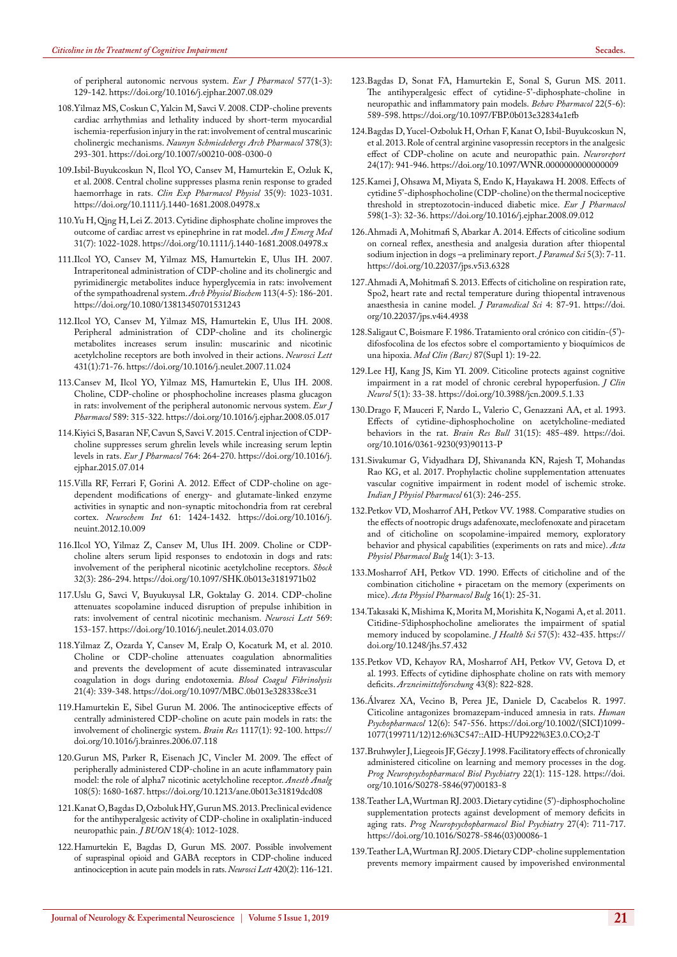[of peripheral autonomic nervous system.](https://www.ncbi.nlm.nih.gov/pubmed/17884041) *Eur J Pharmacol* 577(1-3): [129-142.](https://www.ncbi.nlm.nih.gov/pubmed/17884041) <https://doi.org/10.1016/j.ejphar.2007.08.029>

- 108[.Yilmaz MS, Coskun C, Yalcin M, Savci V. 2008. CDP-choline prevents](https://www.ncbi.nlm.nih.gov/pubmed/18504556)  [cardiac arrhythmias and lethality induced by short-term myocardial](https://www.ncbi.nlm.nih.gov/pubmed/18504556)  [ischemia-reperfusion injury in the rat: involvement of central muscarinic](https://www.ncbi.nlm.nih.gov/pubmed/18504556)  cholinergic mechanisms. *[Naunyn Schmiedebergs Arch Pharmacol](https://www.ncbi.nlm.nih.gov/pubmed/18504556)* 378(3): [293-301.](https://www.ncbi.nlm.nih.gov/pubmed/18504556) <https://doi.org/10.1007/s00210-008-0300-0>
- 109[.Isbil-Buyukcoskun N, Ilcol YO, Cansev M, Hamurtekin E, Ozluk K,](https://www.ncbi.nlm.nih.gov/pubmed/18518880)  [et al. 2008. Central choline suppresses plasma renin response to graded](https://www.ncbi.nlm.nih.gov/pubmed/18518880)  haemorrhage in rats. *[Clin Exp Pharmacol Physiol](https://www.ncbi.nlm.nih.gov/pubmed/18518880)* 35(9): 1023-1031. <https://doi.org/10.1111/j.1440-1681.2008.04978.x>
- <span id="page-7-1"></span>110[.Yu H, Qing H, Lei Z. 2013. Cytidine diphosphate choline improves the](https://www.ncbi.nlm.nih.gov/pubmed/23688565)  [outcome of cardiac arrest vs epinephrine in rat model.](https://www.ncbi.nlm.nih.gov/pubmed/23688565) *Am J Emerg Med* [31\(7\): 1022-1028.](https://www.ncbi.nlm.nih.gov/pubmed/23688565) <https://doi.org/10.1111/j.1440-1681.2008.04978.x>
- <span id="page-7-2"></span>111[.Ilcol YO, Cansev M, Yilmaz MS, Hamurtekin E, Ulus IH. 2007.](https://www.ncbi.nlm.nih.gov/pubmed/17917852)  [Intraperitoneal administration of CDP-choline and its cholinergic and](https://www.ncbi.nlm.nih.gov/pubmed/17917852)  [pyrimidinergic metabolites induce hyperglycemia in rats: involvement](https://www.ncbi.nlm.nih.gov/pubmed/17917852)  [of the sympathoadrenal system.](https://www.ncbi.nlm.nih.gov/pubmed/17917852) *Arch Physiol Biochem* 113(4-5): 186-201. <https://doi.org/10.1080/13813450701531243>
- 112[.Ilcol YO, Cansev M, Yilmaz MS, Hamurtekin E, Ulus IH. 2008.](https://www.ncbi.nlm.nih.gov/pubmed/18162319)  [Peripheral administration of CDP-choline and its cholinergic](https://www.ncbi.nlm.nih.gov/pubmed/18162319)  [metabolites increases serum insulin: muscarinic and nicotinic](https://www.ncbi.nlm.nih.gov/pubmed/18162319)  [acetylcholine receptors are both involved in their actions.](https://www.ncbi.nlm.nih.gov/pubmed/18162319) *Neurosci Lett* [431\(1\):71-76.](https://www.ncbi.nlm.nih.gov/pubmed/18162319) <https://doi.org/10.1016/j.neulet.2007.11.024>
- 113[.Cansev M, Ilcol YO, Yilmaz MS, Hamurtekin E, Ulus IH. 2008.](https://www.ncbi.nlm.nih.gov/pubmed/18561911)  [Choline, CDP-choline or phosphocholine increases plasma glucagon](https://www.ncbi.nlm.nih.gov/pubmed/18561911)  [in rats: involvement of the peripheral autonomic nervous system.](https://www.ncbi.nlm.nih.gov/pubmed/18561911) *Eur J Pharmacol* [589: 315-322.](https://www.ncbi.nlm.nih.gov/pubmed/18561911) <https://doi.org/10.1016/j.ejphar.2008.05.017>
- 114[.Kiyici S, Basaran NF, Cavun S, Savci V. 2015. Central injection of CDP](https://www.ncbi.nlm.nih.gov/pubmed/26162700)[choline suppresses serum ghrelin levels while increasing serum leptin](https://www.ncbi.nlm.nih.gov/pubmed/26162700)  levels in rats. *[Eur J Pharmacol](https://www.ncbi.nlm.nih.gov/pubmed/26162700)* 764: 264-270. [https://doi.org/10.1016/j.](https://doi.org/10.1016/j.ejphar.2015.07.014) [ejphar.2015.07.014](https://doi.org/10.1016/j.ejphar.2015.07.014)
- 115[.Villa RF, Ferrari F, Gorini A. 2012. Effect of CDP-choline on age](https://www.ncbi.nlm.nih.gov/pubmed/23099360)[dependent modifications of energy- and glutamate-linked enzyme](https://www.ncbi.nlm.nih.gov/pubmed/23099360)  [activities in synaptic and non-synaptic mitochondria from rat cerebral](https://www.ncbi.nlm.nih.gov/pubmed/23099360)  cortex. *Neurochem Int* [61: 1424-1432.](https://www.ncbi.nlm.nih.gov/pubmed/23099360) [https://doi.org/10.1016/j.](https://doi.org/10.1016/j.neuint.2012.10.009) [neuint.2012.10.009](https://doi.org/10.1016/j.neuint.2012.10.009)
- 116[.Ilcol YO, Yilmaz Z, Cansev M, Ulus IH. 2009. Choline or CDP](https://www.ncbi.nlm.nih.gov/pubmed/19060783)[choline alters serum lipid responses to endotoxin in dogs and rats:](https://www.ncbi.nlm.nih.gov/pubmed/19060783)  [involvement of the peripheral nicotinic acetylcholine receptors.](https://www.ncbi.nlm.nih.gov/pubmed/19060783) *Shock* [32\(3\): 286-294.](https://www.ncbi.nlm.nih.gov/pubmed/19060783) <https://doi.org/10.1097/SHK.0b013e3181971b02>
- 117[.Uslu G, Savci V, Buyukuysal LR, Goktalay G. 2014. CDP-choline](https://www.sciencedirect.com/science/article/abs/pii/S0304394014002699?via%3Dihub)  [attenuates scopolamine induced disruption of prepulse inhibition in](https://www.sciencedirect.com/science/article/abs/pii/S0304394014002699?via%3Dihub)  [rats: involvement of central nicotinic mechanism.](https://www.sciencedirect.com/science/article/abs/pii/S0304394014002699?via%3Dihub) *Neurosci Lett* 569: [153-157.](https://www.sciencedirect.com/science/article/abs/pii/S0304394014002699?via%3Dihub) <https://doi.org/10.1016/j.neulet.2014.03.070>
- <span id="page-7-3"></span>118[.Yilmaz Z, Ozarda Y, Cansev M, Eralp O, Kocaturk M, et al. 2010.](https://www.ncbi.nlm.nih.gov/pubmed/20410813)  [Choline or CDP-choline attenuates coagulation abnormalities](https://www.ncbi.nlm.nih.gov/pubmed/20410813)  [and prevents the development of acute disseminated intravascular](https://www.ncbi.nlm.nih.gov/pubmed/20410813)  [coagulation in dogs during endotoxemia.](https://www.ncbi.nlm.nih.gov/pubmed/20410813) *Blood Coagul Fibrinolysis* [21\(4\): 339-348.](https://www.ncbi.nlm.nih.gov/pubmed/20410813) <https://doi.org/10.1097/MBC.0b013e328338ce31>
- <span id="page-7-4"></span>119[.Hamurtekin E, Sibel Gurun M. 2006. The antinociceptive effects of](https://www.ncbi.nlm.nih.gov/pubmed/16942753)  [centrally administered CDP-choline on acute pain models in rats: the](https://www.ncbi.nlm.nih.gov/pubmed/16942753)  [involvement of cholinergic system.](https://www.ncbi.nlm.nih.gov/pubmed/16942753) *Brain Res* 1117(1): 92-100. [https://](https://doi.org/10.1016/j.brainres.2006.07.118) [doi.org/10.1016/j.brainres.2006.07.118](https://doi.org/10.1016/j.brainres.2006.07.118)
- 120[.Gurun MS, Parker R, Eisenach JC, Vincler M. 2009. The effect of](https://www.ncbi.nlm.nih.gov/pubmed/19372354)  [peripherally administered CDP-choline in an acute inflammatory pain](https://www.ncbi.nlm.nih.gov/pubmed/19372354)  [model: the role of alpha7 nicotinic acetylcholine receptor.](https://www.ncbi.nlm.nih.gov/pubmed/19372354) *Anesth Analg* [108\(5\): 1680-1687.](https://www.ncbi.nlm.nih.gov/pubmed/19372354) <https://doi.org/10.1213/ane.0b013e31819dcd08>
- <span id="page-7-5"></span>121[.Kanat O, Bagdas D, Ozboluk HY, Gurun MS. 2013. Preclinical evidence](https://www.ncbi.nlm.nih.gov/pubmed/24344031)  [for the antihyperalgesic activity of CDP-choline in oxaliplatin-induced](https://www.ncbi.nlm.nih.gov/pubmed/24344031)  neuropathic pain. *J BUON* [18\(4\): 1012-1028.](https://www.ncbi.nlm.nih.gov/pubmed/24344031)
- <span id="page-7-6"></span>122.[Hamurtekin E, Bagdas D, Gurun MS. 2007. Possible involvement](https://www.ncbi.nlm.nih.gov/pubmed/17531379)  [of supraspinal opioid and GABA receptors in CDP-choline induced](https://www.ncbi.nlm.nih.gov/pubmed/17531379)  [antinociception in acute pain models in rats.](https://www.ncbi.nlm.nih.gov/pubmed/17531379) *Neurosci Lett* 420(2): 116-121.
- 123.[Bagdas D, Sonat FA, Hamurtekin E, Sonal S, Gurun MS. 2011.](https://www.ncbi.nlm.nih.gov/pubmed/21836465)  [The antihyperalgesic effect of cytidine-5'-diphosphate-choline in](https://www.ncbi.nlm.nih.gov/pubmed/21836465)  [neuropathic and inflammatory pain models.](https://www.ncbi.nlm.nih.gov/pubmed/21836465) *Behav Pharmacol* 22(5-6): [589-598.](https://www.ncbi.nlm.nih.gov/pubmed/21836465) <https://doi.org/10.1097/FBP.0b013e32834a1efb>
- 124.[Bagdas D, Yucel-Ozboluk H, Orhan F, Kanat O, Isbil-Buyukcoskun N,](https://www.ncbi.nlm.nih.gov/pubmed/24089014)  [et al. 2013. Role of central arginine vasopressin receptors in the analgesic](https://www.ncbi.nlm.nih.gov/pubmed/24089014)  [effect of CDP-choline on acute and neuropathic pain.](https://www.ncbi.nlm.nih.gov/pubmed/24089014) *Neuroreport* [24\(17\): 941-946.](https://www.ncbi.nlm.nih.gov/pubmed/24089014) <https://doi.org/10.1097/WNR.0000000000000009>
- 125.[Kamei J, Ohsawa M, Miyata S, Endo K, Hayakawa H. 2008. Effects of](https://www.ncbi.nlm.nih.gov/pubmed/18834878)  [cytidine 5'-diphosphocholine \(CDP-choline\) on the thermal nociceptive](https://www.ncbi.nlm.nih.gov/pubmed/18834878)  [threshold in streptozotocin-induced diabetic mice.](https://www.ncbi.nlm.nih.gov/pubmed/18834878) *Eur J Pharmacol* [598\(1-3\): 32-36.](https://www.ncbi.nlm.nih.gov/pubmed/18834878) <https://doi.org/10.1016/j.ejphar.2008.09.012>
- 126.[Ahmadi A, Mohitmafi S, Abarkar A. 2014. Effects of citicoline sodium](http://journals.sbmu.ac.ir/jps/article/view/6328)  [on corneal reflex, anesthesia and analgesia duration after thiopental](http://journals.sbmu.ac.ir/jps/article/view/6328)  [sodium injection in dogs –a preliminary report.](http://journals.sbmu.ac.ir/jps/article/view/6328) *J Paramed Sci* 5(3): 7-11. <https://doi.org/10.22037/jps.v5i3.6328>
- <span id="page-7-7"></span>127.[Ahmadi A, Mohitmafi S. 2013. Effects of citicholine on respiration rate,](http://journals.sbmu.ac.ir/jps/article/view/4938)  [Spo2, heart rate and rectal temperature during thiopental intravenous](http://journals.sbmu.ac.ir/jps/article/view/4938)  [anaesthesia in canine model.](http://journals.sbmu.ac.ir/jps/article/view/4938) *J Paramedical Sci* 4: 87-91. [https://doi.](https://doi.org/10.22037/jps.v4i4.4938) [org/10.22037/jps.v4i4.4938](https://doi.org/10.22037/jps.v4i4.4938)
- <span id="page-7-8"></span>128.Saligaut C, Boismare F. 1986. Tratamiento oral crónico con citidín-(5') difosfocolina de los efectos sobre el comportamiento y bioquímicos de una hipoxia. *Med Clin (Barc)* 87(Supl 1): 19-22.
- <span id="page-7-9"></span>129.[Lee HJ, Kang JS, Kim YI. 2009. Citicoline protects against cognitive](https://www.ncbi.nlm.nih.gov/pubmed/19513332)  [impairment in a rat model of chronic cerebral hypoperfusion.](https://www.ncbi.nlm.nih.gov/pubmed/19513332) *J Clin Neurol* [5\(1\): 33-38.](https://www.ncbi.nlm.nih.gov/pubmed/19513332) <https://doi.org/10.3988/jcn.2009.5.1.33>
- <span id="page-7-10"></span>130.[Drago F, Mauceri F, Nardo L, Valerio C, Genazzani AA, et al. 1993.](https://www.ncbi.nlm.nih.gov/pubmed/8388315)  [Effects of cytidine-diphosphocholine on acetylcholine-mediated](https://www.ncbi.nlm.nih.gov/pubmed/8388315)  [behaviors in the rat.](https://www.ncbi.nlm.nih.gov/pubmed/8388315) *Brain Res Bull* 31(15): 485-489. [https://doi.](https://doi.org/10.1016/0361-9230(93)90113-P) [org/10.1016/0361-9230\(93\)90113-P](https://doi.org/10.1016/0361-9230(93)90113-P)
- <span id="page-7-0"></span>131.[Sivakumar G, Vidyadhara DJ, Shivananda KN, Rajesh T, Mohandas](https://www.ijpp.com/IJPP%20archives/2017_61_3/246-255.pdf)  [Rao KG, et al. 2017. Prophylactic choline supplementation attenuates](https://www.ijpp.com/IJPP%20archives/2017_61_3/246-255.pdf)  [vascular cognitive impairment in rodent model of ischemic stroke.](https://www.ijpp.com/IJPP%20archives/2017_61_3/246-255.pdf)  *[Indian J Physiol Pharmacol](https://www.ijpp.com/IJPP%20archives/2017_61_3/246-255.pdf)* 61(3): 246-255.
- <span id="page-7-11"></span>132.[Petkov VD, Mosharrof AH, Petkov VV. 1988. Comparative studies on](https://www.ncbi.nlm.nih.gov/pubmed/3136617)  [the effects of nootropic drugs adafenoxate, meclofenoxate and piracetam](https://www.ncbi.nlm.nih.gov/pubmed/3136617)  [and of citicholine on scopolamine-impaired memory, exploratory](https://www.ncbi.nlm.nih.gov/pubmed/3136617)  [behavior and physical capabilities \(experiments on rats and mice\).](https://www.ncbi.nlm.nih.gov/pubmed/3136617) *Acta [Physiol Pharmacol Bulg](https://www.ncbi.nlm.nih.gov/pubmed/3136617)* 14(1): 3-13.
- 133.[Mosharrof AH, Petkov VD. 1990. Effects of citicholine and of the](https://www.ncbi.nlm.nih.gov/pubmed/2392950)  [combination citicholine + piracetam on the memory \(experiments on](https://www.ncbi.nlm.nih.gov/pubmed/2392950)  mice). *[Acta Physiol Pharmacol Bulg](https://www.ncbi.nlm.nih.gov/pubmed/2392950)* 16(1): 25-31.
- <span id="page-7-12"></span>134.[Takasaki K, Mishima K, Morita M, Morishita K, Nogami A, et al. 2011.](https://www.jstage.jst.go.jp/article/jhs/57/5/57_5_432/_article)  [Citidine-5'diphosphocholine ameliorates the impairment of spatial](https://www.jstage.jst.go.jp/article/jhs/57/5/57_5_432/_article)  [memory induced by scopolamine.](https://www.jstage.jst.go.jp/article/jhs/57/5/57_5_432/_article) *J Health Sci* 57(5): 432-435. [https://](https://doi.org/10.1248/jhs.57.432) [doi.org/10.1248/jhs.57.432](https://doi.org/10.1248/jhs.57.432)
- <span id="page-7-13"></span>135.[Petkov VD, Kehayov RA, Mosharrof AH, Petkov VV, Getova D, et](https://www.ncbi.nlm.nih.gov/pubmed/8216435)  [al. 1993. Effects of cytidine diphosphate choline on rats with memory](https://www.ncbi.nlm.nih.gov/pubmed/8216435)  deficits. *[Arzneimittelforschung](https://www.ncbi.nlm.nih.gov/pubmed/8216435)* 43(8): 822-828.
- 136.[Álvarez XA, Vecino B, Perea JE, Daniele D, Cacabelos R. 1997.](https://onlinelibrary.wiley.com/doi/abs/10.1002/(SICI)1099-1077(199711/12)12:6%3C547::AID-HUP922%3E3.0.CO;2-T)  [Citicoline antagonizes bromazepam-induced amnesia in rats.](https://onlinelibrary.wiley.com/doi/abs/10.1002/(SICI)1099-1077(199711/12)12:6%3C547::AID-HUP922%3E3.0.CO;2-T) *Human Psychopharmacol* [12\(6\): 547-556.](https://onlinelibrary.wiley.com/doi/abs/10.1002/(SICI)1099-1077(199711/12)12:6%3C547::AID-HUP922%3E3.0.CO;2-T) [https://doi.org/10.1002/\(SICI\)1099-](https://doi.org/10.1002/(SICI)1099-1077(199711/12)12:6%3C547::AID-HUP922%3E3.0.CO;2-T) [1077\(199711/12\)12:6%3C547::AID-HUP922%3E3.0.CO;2-T](https://doi.org/10.1002/(SICI)1099-1077(199711/12)12:6%3C547::AID-HUP922%3E3.0.CO;2-T)
- <span id="page-7-14"></span>137.[Bruhwyler J, Liegeois JF, Géczy J. 1998. Facilitatory effects of chronically](https://www.ncbi.nlm.nih.gov/pubmed/9533170)  [administered citicoline on learning and memory processes in the dog.](https://www.ncbi.nlm.nih.gov/pubmed/9533170)  *[Prog Neuropsychopharmacol Biol Psychiatry](https://www.ncbi.nlm.nih.gov/pubmed/9533170)* 22(1): 115-128. [https://doi.](https://doi.org/10.1016/S0278-5846(97)00183-8) [org/10.1016/S0278-5846\(97\)00183-8](https://doi.org/10.1016/S0278-5846(97)00183-8)
- 138.[Teather LA, Wurtman RJ. 2003. Dietary cytidine \(5'\)-diphosphocholine](https://www.ncbi.nlm.nih.gov/pubmed/12787861)  [supplementation protects against development of memory deficits in](https://www.ncbi.nlm.nih.gov/pubmed/12787861)  aging rats. *[Prog Neuropsychopharmacol Biol Psychiatry](https://www.ncbi.nlm.nih.gov/pubmed/12787861)* 27(4): 711-717. [https://doi.org/10.1016/S0278-5846\(03\)00086-1](https://doi.org/10.1016/S0278-5846(03)00086-1)
- 139.[Teather LA, Wurtman RJ. 2005. Dietary CDP-choline supplementation](https://www.ncbi.nlm.nih.gov/pubmed/15647594)  [prevents memory impairment caused by impoverished environmental](https://www.ncbi.nlm.nih.gov/pubmed/15647594)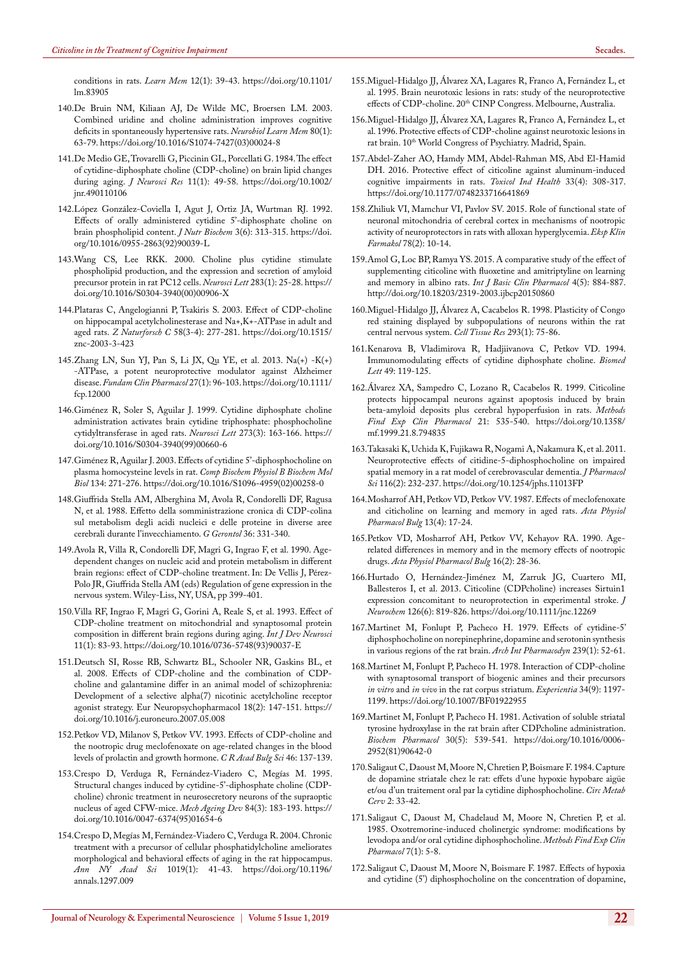<span id="page-8-0"></span>[conditions in rats.](https://www.ncbi.nlm.nih.gov/pubmed/15647594) *Learn Mem* 12(1): 39-43. [https://doi.org/10.1101/](https://doi.org/10.1101/lm.83905) [lm.83905](https://doi.org/10.1101/lm.83905)

- 140[.De Bruin NM, Kiliaan AJ, De Wilde MC, Broersen LM. 2003.](https://www.ncbi.nlm.nih.gov/pubmed/12737935)  [Combined uridine and choline administration improves cognitive](https://www.ncbi.nlm.nih.gov/pubmed/12737935)  [deficits in spontaneously hypertensive rats.](https://www.ncbi.nlm.nih.gov/pubmed/12737935) *Neurobiol Learn Mem* 80(1): [63-79.](https://www.ncbi.nlm.nih.gov/pubmed/12737935) [https://doi.org/10.1016/S1074-7427\(03\)00024-8](https://doi.org/10.1016/S1074-7427(03)00024-8)
- <span id="page-8-1"></span>141[.De Medio GE, Trovarelli G, Piccinin GL, Porcellati G. 1984. The effect](https://www.ncbi.nlm.nih.gov/pubmed/6708133)  [of cytidine-diphosphate choline \(CDP-choline\) on brain lipid changes](https://www.ncbi.nlm.nih.gov/pubmed/6708133)  during aging. *J Neurosci Res* [11\(1\): 49-58.](https://www.ncbi.nlm.nih.gov/pubmed/6708133) [https://doi.org/10.1002/](https://doi.org/10.1002/jnr.490110106) [jnr.490110106](https://doi.org/10.1002/jnr.490110106)
- 142[.López González-Coviella I, Agut J, Ortiz JA, Wurtman RJ. 1992.](https://www.ncbi.nlm.nih.gov/pubmed/11537628)  [Effects of orally administered cytidine 5'-diphosphate choline on](https://www.ncbi.nlm.nih.gov/pubmed/11537628)  [brain phospholipid content.](https://www.ncbi.nlm.nih.gov/pubmed/11537628) *J Nutr Biochem* 3(6): 313-315. [https://doi.](https://doi.org/10.1016/0955-2863(92)90039-L) [org/10.1016/0955-2863\(92\)90039-L](https://doi.org/10.1016/0955-2863(92)90039-L)
- <span id="page-8-2"></span>143[.Wang CS, Lee RKK. 2000. Choline plus cytidine stimulate](https://www.ncbi.nlm.nih.gov/pubmed/10729625)  [phospholipid production, and the expression and secretion of amyloid](https://www.ncbi.nlm.nih.gov/pubmed/10729625)  [precursor protein in rat PC12 cells.](https://www.ncbi.nlm.nih.gov/pubmed/10729625) *Neurosci Lett* 283(1): 25-28. [https://](https://doi.org/10.1016/S0304-3940(00)00906-X) [doi.org/10.1016/S0304-3940\(00\)00906-X](https://doi.org/10.1016/S0304-3940(00)00906-X)
- <span id="page-8-3"></span>144[.Plataras C, Angelogianni P, Tsakiris S. 2003. Effect of CDP-choline](https://www.ncbi.nlm.nih.gov/pubmed/12710741)  [on hippocampal acetylcholinesterase and Na+,K+-ATPase in adult and](https://www.ncbi.nlm.nih.gov/pubmed/12710741)  aged rats. *Z Naturforsch C* [58\(3-4\): 277-281.](https://www.ncbi.nlm.nih.gov/pubmed/12710741) [https://doi.org/10.1515/](https://doi.org/10.1515/znc-2003-3-423) [znc-2003-3-423](https://doi.org/10.1515/znc-2003-3-423)
- <span id="page-8-4"></span>145[.Zhang LN, Sun YJ, Pan S, Li JX, Qu YE, et al. 2013. Na\(+\) -K\(+\)](https://onlinelibrary.wiley.com/doi/10.1111/fcp.12000)  [-ATPase, a potent neuroprotective modulator against Alzheimer](https://onlinelibrary.wiley.com/doi/10.1111/fcp.12000)  disease. *[Fundam Clin Pharmacol](https://onlinelibrary.wiley.com/doi/10.1111/fcp.12000)* 27(1): 96-103.[https://doi.org/10.1111/](https://doi.org/10.1111/fcp.12000) [fcp.12000](https://doi.org/10.1111/fcp.12000)
- 146[.Giménez R, Soler S, Aguilar J. 1999. Cytidine diphosphate choline](https://www.ncbi.nlm.nih.gov/pubmed/10515184)  [administration activates brain cytidine triphosphate: phosphocholine](https://www.ncbi.nlm.nih.gov/pubmed/10515184)  [cytidyltransferase in aged rats.](https://www.ncbi.nlm.nih.gov/pubmed/10515184) *Neurosci Lett* 273(3): 163-166. [https://](https://doi.org/10.1016/S0304-3940(99)00660-6) [doi.org/10.1016/S0304-3940\(99\)00660-6](https://doi.org/10.1016/S0304-3940(99)00660-6)
- <span id="page-8-5"></span>147[.Giménez R, Aguilar J. 2003. Effects of cytidine 5'-diphosphocholine on](https://www.ncbi.nlm.nih.gov/pubmed/12568805)  plasma homocysteine levels in rat. *[Comp Biochem Physiol B Biochem Mol](https://www.ncbi.nlm.nih.gov/pubmed/12568805)  Biol* [134: 271-276.](https://www.ncbi.nlm.nih.gov/pubmed/12568805) [https://doi.org/10.1016/S1096-4959\(02\)00258-0](https://doi.org/10.1016/S1096-4959(02)00258-0)
- <span id="page-8-6"></span>148.Giuffrida Stella AM, Alberghina M, Avola R, Condorelli DF, Ragusa N, et al. 1988. Effetto della somministrazione cronica di CDP-colina sul metabolism degli acidi nucleici e delle proteine in diverse aree cerebrali durante l'invecchiamento. *G Gerontol* 36: 331-340.
- 149.Avola R, Villa R, Condorelli DF, Magri G, Ingrao F, et al. 1990. Agedependent changes on nucleic acid and protein metabolism in different brain regions: effect of CDP-choline treatment. In: De Vellis J, Pérez-Polo JR, Giuffrida Stella AM (eds) Regulation of gene expression in the nervous system. Wiley-Liss, NY, USA, pp 399-401.
- <span id="page-8-7"></span>150[.Villa RF, Ingrao F, Magri G, Gorini A, Reale S, et al. 1993. Effect of](https://www.ncbi.nlm.nih.gov/pubmed/8488757)  [CDP-choline treatment on mitochondrial and synaptosomal protein](https://www.ncbi.nlm.nih.gov/pubmed/8488757)  [composition in different brain regions during aging.](https://www.ncbi.nlm.nih.gov/pubmed/8488757) *Int J Dev Neurosci* [11\(1\): 83-93.](https://www.ncbi.nlm.nih.gov/pubmed/8488757) [https://doi.org/10.1016/0736-5748\(93\)90037-E](https://doi.org/10.1016/0736-5748(93)90037-E)
- <span id="page-8-8"></span>151[.Deutsch SI, Rosse RB, Schwartz BL, Schooler NR, Gaskins BL, et](https://www.ncbi.nlm.nih.gov/pubmed/17656074)  [al. 2008. Effects of CDP-choline and the combination of CDP](https://www.ncbi.nlm.nih.gov/pubmed/17656074)[choline and galantamine differ in an animal model of schizophrenia:](https://www.ncbi.nlm.nih.gov/pubmed/17656074)  [Development of a selective alpha\(7\) nicotinic acetylcholine receptor](https://www.ncbi.nlm.nih.gov/pubmed/17656074)  [agonist strategy. Eur Neuropsychopharmacol 18\(2\): 147-151.](https://www.ncbi.nlm.nih.gov/pubmed/17656074) [https://](https://doi.org/10.1016/j.euroneuro.2007.05.008) [doi.org/10.1016/j.euroneuro.2007.05.008](https://doi.org/10.1016/j.euroneuro.2007.05.008)
- 152.Petkov VD, Milanov S, Petkov VV. 1993. Effects of CDP-choline and the nootropic drug meclofenoxate on age-related changes in the blood levels of prolactin and growth hormone. *C R Acad Bulg Sci* 46: 137-139.
- <span id="page-8-9"></span>153[.Crespo D, Verduga R, Fernández-Viadero C, Megías M. 1995.](https://www.ncbi.nlm.nih.gov/pubmed/8788774)  [Structural changes induced by cytidine-5'-diphosphate choline \(CDP](https://www.ncbi.nlm.nih.gov/pubmed/8788774)[choline\) chronic treatment in neurosecretory neurons of the supraoptic](https://www.ncbi.nlm.nih.gov/pubmed/8788774)  [nucleus of aged CFW-mice.](https://www.ncbi.nlm.nih.gov/pubmed/8788774) *Mech Ageing Dev* 84(3): 183-193. [https://](https://doi.org/10.1016/0047-6374(95)01654-6) [doi.org/10.1016/0047-6374\(95\)01654-6](https://doi.org/10.1016/0047-6374(95)01654-6)
- <span id="page-8-10"></span>154[.Crespo D, Megías M, Fernández-Viadero C, Verduga R. 2004. Chronic](https://nyaspubs.onlinelibrary.wiley.com/doi/abs/10.1196/annals.1297.009)  [treatment with a precursor of cellular phosphatidylcholine ameliorates](https://nyaspubs.onlinelibrary.wiley.com/doi/abs/10.1196/annals.1297.009)  [morphological and behavioral effects of aging in the rat hippocampus.](https://nyaspubs.onlinelibrary.wiley.com/doi/abs/10.1196/annals.1297.009)  *[Ann NY Acad Sci](https://nyaspubs.onlinelibrary.wiley.com/doi/abs/10.1196/annals.1297.009)* 1019(1): 41-43. [https://doi.org/10.1196/](https://doi.org/10.1196/annals.1297.009) [annals.1297.009](https://doi.org/10.1196/annals.1297.009)
- 155.Miguel-Hidalgo JJ, Álvarez XA, Lagares R, Franco A, Fernández L, et al. 1995. Brain neurotoxic lesions in rats: study of the neuroprotective effects of CDP-choline. 20th CINP Congress. Melbourne, Australia.
- 156.Miguel-Hidalgo JJ, Álvarez XA, Lagares R, Franco A, Fernández L, et al. 1996. Protective effects of CDP-choline against neurotoxic lesions in rat brain. 10<sup>th</sup> World Congress of Psychiatry. Madrid, Spain.
- 157[.Abdel-Zaher AO, Hamdy MM, Abdel-Rahman MS, Abd El-Hamid](https://www.ncbi.nlm.nih.gov/pubmed/27178312)  [DH. 2016. Protective effect of citicoline against aluminum-induced](https://www.ncbi.nlm.nih.gov/pubmed/27178312)  [cognitive impairments in rats.](https://www.ncbi.nlm.nih.gov/pubmed/27178312) *Toxicol Ind Health* 33(4): 308-317. <https://doi.org/10.1177/0748233716641869>
- 158[.Zhiliuk VI, Mamchur VI, Pavlov SV. 2015. Role of functional state of](https://www.ncbi.nlm.nih.gov/pubmed/25898541)  [neuronal mitochondria of cerebral cortex in mechanisms of nootropic](https://www.ncbi.nlm.nih.gov/pubmed/25898541)  [activity of neuroprotectors in rats with alloxan hyperglycemia.](https://www.ncbi.nlm.nih.gov/pubmed/25898541) *Eksp Klin Farmakol* [78\(2\): 10-14.](https://www.ncbi.nlm.nih.gov/pubmed/25898541)
- 159[.Amol G, Loc BP, Ramya YS. 2015. A comparative study of the effect of](https://www.ijbcp.com/index.php/ijbcp/article/view/196)  [supplementing citicoline with fluoxetine and amitriptyline on learning](https://www.ijbcp.com/index.php/ijbcp/article/view/196)  [and memory in albino rats.](https://www.ijbcp.com/index.php/ijbcp/article/view/196) *Int J Basic Clin Pharmacol* 4(5): 884-887. <http://doi.org/10.18203/2319-2003.ijbcp20150860>
- <span id="page-8-11"></span>160[.Miguel-Hidalgo JJ, Álvarez A, Cacabelos R. 1998. Plasticity of Congo](https://www.ncbi.nlm.nih.gov/pubmed/9634599)  [red staining displayed by subpopulations of neurons within the rat](https://www.ncbi.nlm.nih.gov/pubmed/9634599)  [central nervous system.](https://www.ncbi.nlm.nih.gov/pubmed/9634599) *Cell Tissue Res* 293(1): 75-86.
- <span id="page-8-12"></span>161.Kenarova B, Vladimirova R, Hadjiivanova C, Petkov VD. 1994. Immunomodulating effects of cytidine diphosphate choline. *Biomed Lett* 49: 119-125.
- <span id="page-8-13"></span>162[.Álvarez XA, Sampedro C, Lozano R, Cacabelos R. 1999. Citicoline](https://www.ncbi.nlm.nih.gov/pubmed/10599052)  [protects hippocampal neurons against apoptosis induced by brain](https://www.ncbi.nlm.nih.gov/pubmed/10599052)  [beta-amyloid deposits plus cerebral hypoperfusion in rats.](https://www.ncbi.nlm.nih.gov/pubmed/10599052) *Methods [Find Exp Clin Pharmacol](https://www.ncbi.nlm.nih.gov/pubmed/10599052)* 21: 535-540. [https://doi.org/10.1358/](https://doi.org/10.1358/mf.1999.21.8.794835) [mf.1999.21.8.794835](https://doi.org/10.1358/mf.1999.21.8.794835)
- <span id="page-8-14"></span>163[.Takasaki K, Uchida K, Fujikawa R, Nogami A, Nakamura K, et al. 2011.](https://www.ncbi.nlm.nih.gov/pubmed/21613753)  [Neuroprotective effects of citidine-5-diphosphocholine on impaired](https://www.ncbi.nlm.nih.gov/pubmed/21613753)  [spatial memory in a rat model of cerebrovascular dementia.](https://www.ncbi.nlm.nih.gov/pubmed/21613753) *J Pharmacol Sci* [116\(2\): 232-237.](https://www.ncbi.nlm.nih.gov/pubmed/21613753) <https://doi.org/10.1254/jphs.11013FP>
- <span id="page-8-15"></span>164[.Mosharrof AH, Petkov VD, Petkov VV. 1987. Effects of meclofenoxate](https://www.ncbi.nlm.nih.gov/pubmed/3129903)  [and citicholine on learning and memory in aged rats.](https://www.ncbi.nlm.nih.gov/pubmed/3129903) *Acta Physiol [Pharmacol Bulg](https://www.ncbi.nlm.nih.gov/pubmed/3129903)* 13(4): 17-24.
- <span id="page-8-16"></span>165[.Petkov VD, Mosharrof AH, Petkov VV, Kehayov RA. 1990. Age](https://www.ncbi.nlm.nih.gov/pubmed/2281798)[related differences in memory and in the memory effects of nootropic](https://www.ncbi.nlm.nih.gov/pubmed/2281798)  drugs. *[Acta Physiol Pharmacol Bulg](https://www.ncbi.nlm.nih.gov/pubmed/2281798)* 16(2): 28-36.
- <span id="page-8-17"></span>166[.Hurtado O, Hernández-Jiménez M, Zarruk JG, Cuartero MI,](https://www.ncbi.nlm.nih.gov/pubmed/23600725)  [Ballesteros I, et al. 2013. Citicoline \(CDPcholine\) increases Sirtuin1](https://www.ncbi.nlm.nih.gov/pubmed/23600725)  [expression concomitant to neuroprotection in experimental stroke.](https://www.ncbi.nlm.nih.gov/pubmed/23600725) *j Neurochem* [126\(6\): 819-826.](https://www.ncbi.nlm.nih.gov/pubmed/23600725) <https://doi.org/10.1111/jnc.12269>
- <span id="page-8-18"></span>167[.Martinet M, Fonlupt P, Pacheco H. 1979. Effects of cytidine-5'](https://www.ncbi.nlm.nih.gov/pubmed/485720)  [diphosphocholine on norepinephrine, dopamine and serotonin synthesis](https://www.ncbi.nlm.nih.gov/pubmed/485720)  [in various regions of the rat brain.](https://www.ncbi.nlm.nih.gov/pubmed/485720) *Arch Int Pharmacodyn* 239(1): 52-61.
- <span id="page-8-19"></span>168[.Martinet M, Fonlupt P, Pacheco H. 1978. Interaction of CDP-choline](https://www.ncbi.nlm.nih.gov/pubmed/31297)  [with synaptosomal transport of biogenic amines and their precursors](https://www.ncbi.nlm.nih.gov/pubmed/31297)  *in vitro* and *in vivo* [in the rat corpus striatum.](https://www.ncbi.nlm.nih.gov/pubmed/31297) *Experientia* 34(9): 1197- [1199.](https://www.ncbi.nlm.nih.gov/pubmed/31297) <https://doi.org/10.1007/BF01922955>
- <span id="page-8-20"></span>169[.Martinet M, Fonlupt P, Pacheco H. 1981. Activation of soluble striatal](https://www.ncbi.nlm.nih.gov/pubmed/6112006)  [tyrosine hydroxylase in the rat brain after CDPcholine administration.](https://www.ncbi.nlm.nih.gov/pubmed/6112006)  *[Biochem Pharmacol](https://www.ncbi.nlm.nih.gov/pubmed/6112006)* 30(5): 539-541. [https://doi.org/10.1016/0006-](https://doi.org/10.1016/0006-2952(81)90642-0) [2952\(81\)90642-0](https://doi.org/10.1016/0006-2952(81)90642-0)
- <span id="page-8-21"></span>170.Saligaut C, Daoust M, Moore N, Chretien P, Boismare F. 1984. Capture de dopamine striatale chez le rat: effets d'une hypoxie hypobare aigüe et/ou d'un traitement oral par la cytidine diphosphocholine. *Circ Metab Cerv* 2: 33-42.
- 171[.Saligaut C, Daoust M, Chadelaud M, Moore N, Chretien P, et al.](https://www.ncbi.nlm.nih.gov/pubmed/3990445)  [1985. Oxotremorine-induced cholinergic syndrome: modifications by](https://www.ncbi.nlm.nih.gov/pubmed/3990445)  [levodopa and/or oral cytidine diphosphocholine.](https://www.ncbi.nlm.nih.gov/pubmed/3990445) *Methods Find Exp Clin [Pharmacol](https://www.ncbi.nlm.nih.gov/pubmed/3990445)* 7(1): 5-8.
- 172[.Saligaut C, Daoust M, Moore N, Boismare F. 1987. Effects of hypoxia](https://www.ncbi.nlm.nih.gov/pubmed/3579424)  [and cytidine \(5'\) diphosphocholine on the concentration of dopamine,](https://www.ncbi.nlm.nih.gov/pubmed/3579424)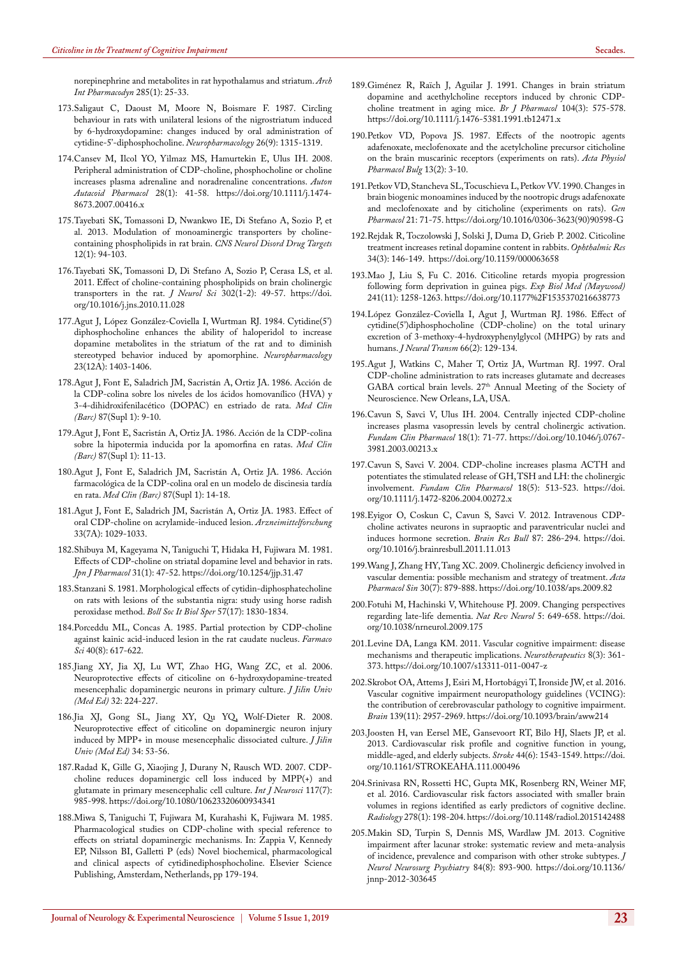<span id="page-9-6"></span>[norepinephrine and metabolites in rat hypothalamus and striatum.](https://www.ncbi.nlm.nih.gov/pubmed/3579424) *Arch [Int Pharmacodyn](https://www.ncbi.nlm.nih.gov/pubmed/3579424)* 285(1): 25-33.

- 173[.Saligaut C, Daoust M, Moore N, Boismare F. 1987. Circling](https://www.ncbi.nlm.nih.gov/pubmed/3118233)  [behaviour in rats with unilateral lesions of the nigrostriatum induced](https://www.ncbi.nlm.nih.gov/pubmed/3118233)  [by 6-hydroxydopamine: changes induced by oral administration of](https://www.ncbi.nlm.nih.gov/pubmed/3118233)  [cytidine-5'-diphosphocholine.](https://www.ncbi.nlm.nih.gov/pubmed/3118233) *Neuropharmacology* 26(9): 1315-1319.
- <span id="page-9-7"></span>174[.Cansev M, Ilcol YO, Yilmaz MS, Hamurtekin E, Ulus IH. 2008.](https://www.ncbi.nlm.nih.gov/pubmed/18257750)  [Peripheral administration of CDP-choline, phosphocholine or choline](https://www.ncbi.nlm.nih.gov/pubmed/18257750)  [increases plasma adrenaline and noradrenaline concentrations.](https://www.ncbi.nlm.nih.gov/pubmed/18257750) *Auton [Autacoid Pharmacol](https://www.ncbi.nlm.nih.gov/pubmed/18257750)* 28(1): 41-58. [https://doi.org/10.1111/j.1474-](https://doi.org/10.1111/j.1474-8673.2007.00416.x) [8673.2007.00416.x](https://doi.org/10.1111/j.1474-8673.2007.00416.x)
- 175[.Tayebati SK, Tomassoni D, Nwankwo IE, Di Stefano A, Sozio P, et](https://www.ncbi.nlm.nih.gov/pubmed/23244432)  [al. 2013. Modulation of monoaminergic transporters by choline](https://www.ncbi.nlm.nih.gov/pubmed/23244432)[containing phospholipids in rat brain.](https://www.ncbi.nlm.nih.gov/pubmed/23244432) *CNS Neurol Disord Drug Targets* [12\(1\): 94-103.](https://www.ncbi.nlm.nih.gov/pubmed/23244432)
- 176[.Tayebati SK, Tomassoni D, Di Stefano A, Sozio P, Cerasa LS, et al.](https://www.ncbi.nlm.nih.gov/pubmed/21195433)  [2011. Effect of choline-containing phospholipids on brain cholinergic](https://www.ncbi.nlm.nih.gov/pubmed/21195433)  [transporters in the rat.](https://www.ncbi.nlm.nih.gov/pubmed/21195433) *J Neurol Sci* 302(1-2): 49-57. [https://doi.](https://doi.org/10.1016/j.jns.2010.11.028) [org/10.1016/j.jns.2010.11.028](https://doi.org/10.1016/j.jns.2010.11.028)
- 177[.Agut J, López González-Coviella I, Wurtman RJ. 1984. Cytidine\(5'\)](https://www.ncbi.nlm.nih.gov/pubmed/6543245) [diphosphocholine enhances the ability of haloperidol to increase](https://www.ncbi.nlm.nih.gov/pubmed/6543245)  [dopamine metabolites in the striatum of the rat and to diminish](https://www.ncbi.nlm.nih.gov/pubmed/6543245)  [stereotyped behavior induced by apomorphine.](https://www.ncbi.nlm.nih.gov/pubmed/6543245) *Neuropharmacology* [23\(12A\): 1403-1406.](https://www.ncbi.nlm.nih.gov/pubmed/6543245)
- <span id="page-9-8"></span>178.Agut J, Font E, Saladrich JM, Sacristán A, Ortiz JA. 1986. Acción de la CDP-colina sobre los niveles de los ácidos homovanílico (HVA) y 3-4-dihidroxifenilacético (DOPAC) en estriado de rata. *Med Clin (Barc)* 87(Supl 1): 9-10.
- <span id="page-9-9"></span>179.Agut J, Font E, Sacristán A, Ortiz JA. 1986. Acción de la CDP-colina sobre la hipotermia inducida por la apomorfina en ratas. *Med Clin (Barc)* 87(Supl 1): 11-13.
- 180.Agut J, Font E, Saladrich JM, Sacristán A, Ortiz JA. 1986. Acción farmacológica de la CDP-colina oral en un modelo de discinesia tardía en rata. *Med Clin (Barc)* 87(Supl 1): 14-18.
- 181[.Agut J, Font E, Saladrich JM, Sacristán A, Ortiz JA. 1983. Effect of](https://www.ncbi.nlm.nih.gov/pubmed/6684458)  [oral CDP-choline on acrylamide-induced lesion.](https://www.ncbi.nlm.nih.gov/pubmed/6684458) *Arzneimittelforschung* [33\(7A\): 1029-1033.](https://www.ncbi.nlm.nih.gov/pubmed/6684458)
- 182[.Shibuya M, Kageyama N, Taniguchi T, Hidaka H, Fujiwara M. 1981.](https://www.ncbi.nlm.nih.gov/pubmed/7253343)  [Effects of CDP-choline on striatal dopamine level and behavior in rats.](https://www.ncbi.nlm.nih.gov/pubmed/7253343)  *[Jpn J Pharmacol](https://www.ncbi.nlm.nih.gov/pubmed/7253343)* 31(1): 47-52. <https://doi.org/10.1254/jjp.31.47>
- 183[.Stanzani S. 1981. Morphological effects of cytidin-diphosphatecholine](https://www.ncbi.nlm.nih.gov/pubmed/7306424)  [on rats with lesions of the substantia nigra: study using horse radish](https://www.ncbi.nlm.nih.gov/pubmed/7306424)  [peroxidase method.](https://www.ncbi.nlm.nih.gov/pubmed/7306424) *Boll Soc It Biol Sper* 57(17): 1830-1834.
- 184[.Porceddu ML, Concas A. 1985. Partial protection by CDP-choline](https://www.ncbi.nlm.nih.gov/pubmed/4043378)  [against kainic acid-induced lesion in the rat caudate nucleus.](https://www.ncbi.nlm.nih.gov/pubmed/4043378) *Farmaco Sci* [40\(8\): 617-622.](https://www.ncbi.nlm.nih.gov/pubmed/4043378)
- 185.Jiang XY, Jia XJ, Lu WT, Zhao HG, Wang ZC, et al. 2006. Neuroprotective effects of citicoline on 6-hydroxydopamine-treated mesencephalic dopaminergic neurons in primary culture. *J Jilin Univ (Med Ed)* 32: 224-227.
- 186.Jia XJ, Gong SL, Jiang XY, Qu YQ, Wolf-Dieter R. 2008. Neuroprotective effect of citicoline on dopaminergic neuron injury induced by MPP+ in mouse mesencephalic dissociated culture. *J Jilin Univ (Med Ed)* 34: 53-56.
- 187[.Radad K, Gille G, Xiaojing J, Durany N, Rausch WD. 2007. CDP](https://www.ncbi.nlm.nih.gov/pubmed/17613109)[choline reduces dopaminergic cell loss induced by MPP\(+\) and](https://www.ncbi.nlm.nih.gov/pubmed/17613109)  [glutamate in primary mesencephalic cell culture.](https://www.ncbi.nlm.nih.gov/pubmed/17613109) *Int J Neurosci* 117(7): [985-998.](https://www.ncbi.nlm.nih.gov/pubmed/17613109) <https://doi.org/10.1080/10623320600934341>
- 188.Miwa S, Taniguchi T, Fujiwara M, Kurahashi K, Fujiwara M. 1985. Pharmacological studies on CDP-choline with special reference to effects on striatal dopaminergic mechanisms. In: Zappia V, Kennedy EP, Nilsson BI, Galletti P (eds) Novel biochemical, pharmacological and clinical aspects of cytidinediphosphocholine. Elsevier Science Publishing, Amsterdam, Netherlands, pp 179-194.
- 189[.Giménez R, Raïch J, Aguilar J. 1991. Changes in brain striatum](https://www.ncbi.nlm.nih.gov/pubmed/1839138)  [dopamine and acethylcholine receptors induced by chronic CDP](https://www.ncbi.nlm.nih.gov/pubmed/1839138)[choline treatment in aging mice.](https://www.ncbi.nlm.nih.gov/pubmed/1839138) *Br J Pharmacol* 104(3): 575-578. <https://doi.org/10.1111/j.1476-5381.1991.tb12471.x>
- 190[.Petkov VD, Popova JS. 1987. Effects of the nootropic agents](https://www.ncbi.nlm.nih.gov/pubmed/3118641)  [adafenoxate, meclofenoxate and the acetylcholine precursor citicholine](https://www.ncbi.nlm.nih.gov/pubmed/3118641)  [on the brain muscarinic receptors \(experiments on rats\).](https://www.ncbi.nlm.nih.gov/pubmed/3118641) *Acta Physiol [Pharmacol Bulg](https://www.ncbi.nlm.nih.gov/pubmed/3118641)* 13(2): 3-10.
- 191[.Petkov VD, Stancheva SL, Tocuschieva L, Petkov VV. 1990. Changes in](https://www.ncbi.nlm.nih.gov/pubmed/2105261)  [brain biogenic monoamines induced by the nootropic drugs adafenoxate](https://www.ncbi.nlm.nih.gov/pubmed/2105261)  [and meclofenoxate and by citicholine \(experiments on rats\).](https://www.ncbi.nlm.nih.gov/pubmed/2105261) *Gen Pharmacol* [21: 71-75.](https://www.ncbi.nlm.nih.gov/pubmed/2105261) [https://doi.org/10.1016/0306-3623\(90\)90598-G](https://doi.org/10.1016/0306-3623(90)90598-G)
- 192[.Rejdak R, Toczolowski J, Solski J, Duma D, Grieb P. 2002. Citicoline](https://www.ncbi.nlm.nih.gov/pubmed/12097797)  [treatment increases retinal dopamine content in rabbits.](https://www.ncbi.nlm.nih.gov/pubmed/12097797) *Ophthalmic Res* [34\(3\): 146-149.](https://www.ncbi.nlm.nih.gov/pubmed/12097797) <https://doi.org/10.1159/000063658>
- <span id="page-9-10"></span>193[.Mao J, Liu S, Fu C. 2016. Citicoline retards myopia progression](https://www.ncbi.nlm.nih.gov/pubmed/26979720)  [following form deprivation in guinea pigs.](https://www.ncbi.nlm.nih.gov/pubmed/26979720) *Exp Biol Med (Maywood)* [241\(11\): 1258-1263.](https://www.ncbi.nlm.nih.gov/pubmed/26979720) <https://doi.org/10.1177%2F1535370216638773>
- <span id="page-9-11"></span>194[.López González-Coviella I, Agut J, Wurtman RJ. 1986. Effect of](https://www.ncbi.nlm.nih.gov/pubmed/3746287)  [cytidine\(5'\)diphosphocholine \(CDP-choline\) on the total urinary](https://www.ncbi.nlm.nih.gov/pubmed/3746287)  [excretion of 3-methoxy-4-hydroxyphenylglycol \(MHPG\) by rats and](https://www.ncbi.nlm.nih.gov/pubmed/3746287)  humans. *J Neural Transm* [66\(2\): 129-134.](https://www.ncbi.nlm.nih.gov/pubmed/3746287)
- <span id="page-9-12"></span>195.Agut J, Watkins C, Maher T, Ortiz JA, Wurtman RJ. 1997. Oral CDP-choline administration to rats increases glutamate and decreases GABA cortical brain levels. 27<sup>th</sup> Annual Meeting of the Society of Neuroscience. New Orleans, LA, USA.
- <span id="page-9-13"></span>196[.Cavun S, Savci V, Ulus IH. 2004. Centrally injected CDP-choline](https://www.ncbi.nlm.nih.gov/pubmed/14748757)  [increases plasma vasopressin levels by central cholinergic activation.](https://www.ncbi.nlm.nih.gov/pubmed/14748757)  *[Fundam Clin Pharmacol](https://www.ncbi.nlm.nih.gov/pubmed/14748757)* 18(1): 71-77. [https://doi.org/10.1046/j.0767-](https://doi.org/10.1046/j.0767-3981.2003.00213.x) [3981.2003.00213.x](https://doi.org/10.1046/j.0767-3981.2003.00213.x)
- <span id="page-9-14"></span>197[.Cavun S, Savci V. 2004. CDP-choline increases plasma ACTH and](https://www.ncbi.nlm.nih.gov/pubmed/15482372)  [potentiates the stimulated release of GH, TSH and LH: the cholinergic](https://www.ncbi.nlm.nih.gov/pubmed/15482372)  involvement. *[Fundam Clin Pharmacol](https://www.ncbi.nlm.nih.gov/pubmed/15482372)* 18(5): 513-523. [https://doi.](https://doi.org/10.1111/j.1472-8206.2004.00272.x) [org/10.1111/j.1472-8206.2004.00272.x](https://doi.org/10.1111/j.1472-8206.2004.00272.x)
- <span id="page-9-15"></span>198.[Eyigor O, Coskun C, Cavun S, Savci V. 2012. Intravenous CDP](https://www.ncbi.nlm.nih.gov/pubmed/22138197)[choline activates neurons in supraoptic and paraventricular nuclei and](https://www.ncbi.nlm.nih.gov/pubmed/22138197)  [induces hormone secretion.](https://www.ncbi.nlm.nih.gov/pubmed/22138197) *Brain Res Bull* 87: 286-294. [https://doi.](https://doi.org/10.1016/j.brainresbull.2011.11.013) [org/10.1016/j.brainresbull.2011.11.013](https://doi.org/10.1016/j.brainresbull.2011.11.013)
- <span id="page-9-0"></span>199.[Wang J, Zhang HY, Tang XC. 2009. Cholinergic deficiency involved in](https://www.ncbi.nlm.nih.gov/pubmed/19574993)  [vascular dementia: possible mechanism and strategy of treatment.](https://www.ncbi.nlm.nih.gov/pubmed/19574993) *Acta Pharmacol Sin* [30\(7\): 879-888.](https://www.ncbi.nlm.nih.gov/pubmed/19574993) <https://doi.org/10.1038/aps.2009.82>
- <span id="page-9-1"></span>200.[Fotuhi M, Hachinski V, Whitehouse PJ. 2009. Changing perspectives](https://www.ncbi.nlm.nih.gov/pubmed/19918254)  [regarding late-life dementia.](https://www.ncbi.nlm.nih.gov/pubmed/19918254) *Nat Rev Neurol* 5: 649-658. [https://doi.](https://doi.org/10.1038/nrneurol.2009.175) [org/10.1038/nrneurol.2009.175](https://doi.org/10.1038/nrneurol.2009.175)
- 201.[Levine DA, Langa KM. 2011. Vascular cognitive impairment: disease](https://www.ncbi.nlm.nih.gov/pubmed/21556678)  [mechanisms and therapeutic implications.](https://www.ncbi.nlm.nih.gov/pubmed/21556678) *Neurotherapeutics* 8(3): 361- [373.](https://www.ncbi.nlm.nih.gov/pubmed/21556678) <https://doi.org/10.1007/s13311-011-0047-z>
- <span id="page-9-2"></span>202.[Skrobot OA, Attems J, Esiri M, Hortobágyi T, Ironside JW, et al. 2016.](https://www.ncbi.nlm.nih.gov/pubmed/27591113)  [Vascular cognitive impairment neuropathology guidelines \(VCING\):](https://www.ncbi.nlm.nih.gov/pubmed/27591113)  [the contribution of cerebrovascular pathology to cognitive impairment.](https://www.ncbi.nlm.nih.gov/pubmed/27591113)  *Brain* [139\(11\): 2957-2969.](https://www.ncbi.nlm.nih.gov/pubmed/27591113) <https://doi.org/10.1093/brain/aww214>
- <span id="page-9-3"></span>203.[Joosten H, van Eersel ME, Gansevoort RT, Bilo HJ, Slaets JP, et al.](https://www.ncbi.nlm.nih.gov/pubmed/23640826)  [2013. Cardiovascular risk profile and cognitive function in young,](https://www.ncbi.nlm.nih.gov/pubmed/23640826)  [middle-aged, and elderly subjects.](https://www.ncbi.nlm.nih.gov/pubmed/23640826) *Stroke* 44(6): 1543-1549. [https://doi.](https://doi.org/10.1161/STROKEAHA.111.000496) [org/10.1161/STROKEAHA.111.000496](https://doi.org/10.1161/STROKEAHA.111.000496)
- <span id="page-9-4"></span>204.[Srinivasa RN, Rossetti HC, Gupta MK, Rosenberg RN, Weiner MF,](https://www.ncbi.nlm.nih.gov/pubmed/26218598)  [et al. 2016. Cardiovascular risk factors associated with smaller brain](https://www.ncbi.nlm.nih.gov/pubmed/26218598)  [volumes in regions identified as early predictors of cognitive decline.](https://www.ncbi.nlm.nih.gov/pubmed/26218598)  *Radiology* [278\(1\): 198-204.](https://www.ncbi.nlm.nih.gov/pubmed/26218598) <https://doi.org/10.1148/radiol.2015142488>
- <span id="page-9-5"></span>205[.Makin SD, Turpin S, Dennis MS, Wardlaw JM. 2013. Cognitive](https://www.ncbi.nlm.nih.gov/pubmed/23457225)  [impairment after lacunar stroke: systematic review and meta-analysis](https://www.ncbi.nlm.nih.gov/pubmed/23457225)  [of incidence, prevalence and comparison with other stroke subtypes.](https://www.ncbi.nlm.nih.gov/pubmed/23457225) *J [Neurol Neurosurg Psychiatry](https://www.ncbi.nlm.nih.gov/pubmed/23457225)* 84(8): 893-900. [https://doi.org/10.1136/](https://doi.org/10.1136/jnnp-2012-303645) [jnnp-2012-303645](https://doi.org/10.1136/jnnp-2012-303645)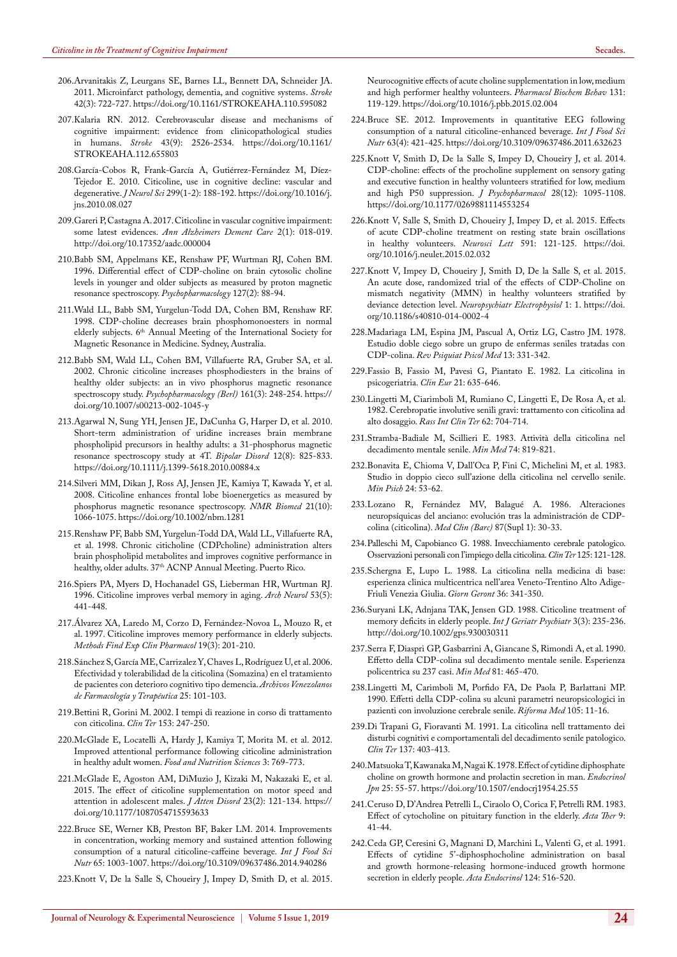- <span id="page-10-0"></span>206[.Arvanitakis Z, Leurgans SE, Barnes LL, Bennett DA, Schneider JA.](https://www.ncbi.nlm.nih.gov/pubmed/21212395)  [2011. Microinfarct pathology, dementia, and cognitive systems.](https://www.ncbi.nlm.nih.gov/pubmed/21212395) *Stroke* [42\(3\): 722-727.](https://www.ncbi.nlm.nih.gov/pubmed/21212395) <https://doi.org/10.1161/STROKEAHA.110.595082>
- <span id="page-10-1"></span>207[.Kalaria RN. 2012. Cerebrovascular disease and mechanisms of](https://www.ncbi.nlm.nih.gov/pubmed/22879100)  [cognitive impairment: evidence from clinicopathological studies](https://www.ncbi.nlm.nih.gov/pubmed/22879100)  in humans. *Stroke* [43\(9\): 2526-2534.](https://www.ncbi.nlm.nih.gov/pubmed/22879100) [https://doi.org/10.1161/](https://doi.org/10.1161/STROKEAHA.112.655803) [STROKEAHA.112.655803](https://doi.org/10.1161/STROKEAHA.112.655803)
- <span id="page-10-2"></span>208[.García-Cobos R, Frank-García A, Gutiérrez-Fernández M, Díez-](https://www.ncbi.nlm.nih.gov/pubmed/20875651)[Tejedor E. 2010. Citicoline, use in cognitive decline: vascular and](https://www.ncbi.nlm.nih.gov/pubmed/20875651)  degenerative. *J Neurol Sci* [299\(1-2\): 188-192.](https://www.ncbi.nlm.nih.gov/pubmed/20875651) [https://doi.org/10.1016/j.](https://doi.org/10.1016/j.jns.2010.08.027) [jns.2010.08.027](https://doi.org/10.1016/j.jns.2010.08.027)
- <span id="page-10-3"></span>209[.Gareri P, Castagna A. 2017. Citicoline in vascular cognitive impairment:](https://www.peertechz.com/abstracts/citicoline-in-vascular-cognitive-impairment-some-latest-evidences) some latest evidences. *[Ann Alzheimers Dement Care](https://www.peertechz.com/abstracts/citicoline-in-vascular-cognitive-impairment-some-latest-evidences)* 2(1): 018-019. <http://doi.org/10.17352/aadc.000004>
- <span id="page-10-4"></span>210[.Babb SM, Appelmans KE, Renshaw PF, Wurtman RJ, Cohen BM.](https://www.ncbi.nlm.nih.gov/pubmed/8888372)  [1996. Differential effect of CDP-choline on brain cytosolic choline](https://www.ncbi.nlm.nih.gov/pubmed/8888372)  [levels in younger and older subjects as measured by proton magnetic](https://www.ncbi.nlm.nih.gov/pubmed/8888372) [resonance spectroscopy.](https://www.ncbi.nlm.nih.gov/pubmed/8888372) *Psychopharmacology* 127(2): 88-94.
- 211.Wald LL, Babb SM, Yurgelun-Todd DA, Cohen BM, Renshaw RF. 1998. CDP-choline decreases brain phosphomonoesters in normal elderly subjects. 6<sup>th</sup> Annual Meeting of the International Society for Magnetic Resonance in Medicine. Sydney, Australia.
- 212[.Babb SM, Wald LL, Cohen BM, Villafuerte RA, Gruber SA, et al.](https://www.ncbi.nlm.nih.gov/pubmed/12021827)  [2002. Chronic citicoline increases phosphodiesters in the brains of](https://www.ncbi.nlm.nih.gov/pubmed/12021827)  [healthy older subjects: an in vivo phosphorus magnetic resonance](https://www.ncbi.nlm.nih.gov/pubmed/12021827)  spectroscopy study. *[Psychopharmacology \(Berl\)](https://www.ncbi.nlm.nih.gov/pubmed/12021827)* 161(3): 248-254. [https://](https://doi.org/10.1007/s00213-002-1045-y) [doi.org/10.1007/s00213-002-1045-y](https://doi.org/10.1007/s00213-002-1045-y)
- <span id="page-10-5"></span>213[.Agarwal N, Sung YH, Jensen JE, DaCunha G, Harper D, et al. 2010.](https://www.ncbi.nlm.nih.gov/pubmed/21176029)  [Short-term administration of uridine increases brain membrane](https://www.ncbi.nlm.nih.gov/pubmed/21176029)  [phospholipid precursors in healthy adults: a 31-phosphorus magnetic](https://www.ncbi.nlm.nih.gov/pubmed/21176029)  [resonance spectroscopy study at 4T.](https://www.ncbi.nlm.nih.gov/pubmed/21176029) *Bipolar Disord* 12(8): 825-833. <https://doi.org/10.1111/j.1399-5618.2010.00884.x>
- <span id="page-10-6"></span>214[.Silveri MM, Dikan J, Ross AJ, Jensen JE, Kamiya T, Kawada Y, et al.](https://www.ncbi.nlm.nih.gov/pubmed/18816480)  [2008. Citicoline enhances frontal lobe bioenergetics as measured by](https://www.ncbi.nlm.nih.gov/pubmed/18816480)  [phosphorus magnetic resonance spectroscopy.](https://www.ncbi.nlm.nih.gov/pubmed/18816480) *NMR Biomed* 21(10): [1066-1075.](https://www.ncbi.nlm.nih.gov/pubmed/18816480) <https://doi.org/10.1002/nbm.1281>
- <span id="page-10-7"></span>215.Renshaw PF, Babb SM, Yurgelun-Todd DA, Wald LL, Villafuerte RA, et al. 1998. Chronic citicholine (CDPcholine) administration alters brain phospholipid metabolites and improves cognitive performance in healthy, older adults. 37<sup>th</sup> ACNP Annual Meeting. Puerto Rico.
- 216[.Spiers PA, Myers D, Hochanadel GS, Lieberman HR, Wurtman RJ.](https://www.ncbi.nlm.nih.gov/pubmed/8624220)  [1996. Citicoline improves verbal memory in aging.](https://www.ncbi.nlm.nih.gov/pubmed/8624220) *Arch Neurol* 53(5): [441-448.](https://www.ncbi.nlm.nih.gov/pubmed/8624220)
- 217[.Álvarez XA, Laredo M, Corzo D, Fernández-Novoa L, Mouzo R, et](https://www.ncbi.nlm.nih.gov/pubmed/9203170)  [al. 1997. Citicoline improves memory performance in elderly subjects.](https://www.ncbi.nlm.nih.gov/pubmed/9203170)  *[Methods Find Exp Clin Pharmacol](https://www.ncbi.nlm.nih.gov/pubmed/9203170)* 19(3): 201-210.
- 218.Sánchez S, García ME, Carrizalez Y, Chaves L, Rodríguez U, et al. 2006. Efectividad y tolerabilidad de la citicolina (Somazina) en el tratamiento de pacientes con deterioro cognitivo tipo demencia. *Archivos Venezolanos de Farmacología y Terapéutica* 25: 101-103.
- <span id="page-10-8"></span>219.Bettini R, Gorini M. 2002. I tempi di reazione in corso di trattamento con citicolina. *Clin Ter* 153: 247-250.
- <span id="page-10-9"></span>220.McGlade E, Locatelli A, Hardy J, Kamiya T, Morita M. et al. 2012. Improved attentional performance following citicoline administration in healthy adult women. *Food and Nutrition Sciences* 3: 769-773.
- <span id="page-10-10"></span>221[.McGlade E, Agoston AM, DiMuzio J, Kizaki M, Nakazaki E, et al.](https://www.ncbi.nlm.nih.gov/pubmed/26179181)  [2015. The effect of citicoline supplementation on motor speed and](https://www.ncbi.nlm.nih.gov/pubmed/26179181)  [attention in adolescent males.](https://www.ncbi.nlm.nih.gov/pubmed/26179181) *J Atten Disord* 23(2): 121-134. [https://](https://doi.org/10.1177/1087054715593633) [doi.org/10.1177/1087054715593633](https://doi.org/10.1177/1087054715593633)
- <span id="page-10-11"></span>222[.Bruce SE, Werner KB, Preston BF, Baker LM. 2014. Improvements](https://www.ncbi.nlm.nih.gov/pubmed/25046515)  [in concentration, working memory and sustained attention following](https://www.ncbi.nlm.nih.gov/pubmed/25046515)  [consumption of a natural citicoline-caffeine beverage](https://www.ncbi.nlm.nih.gov/pubmed/25046515)*. Int J Food Sci Nutr* [65: 1003-1007.](https://www.ncbi.nlm.nih.gov/pubmed/25046515) <https://doi.org/10.3109/09637486.2014.940286>
- <span id="page-10-12"></span>223[.Knott V, De la Salle S, Choueiry J, Impey D, Smith D, et al. 2015.](https://www.ncbi.nlm.nih.gov/pubmed/25681529)

[Neurocognitive effects of acute choline supplementation in low, medium](https://www.ncbi.nlm.nih.gov/pubmed/25681529)  [and high performer healthy volunteers.](https://www.ncbi.nlm.nih.gov/pubmed/25681529) *Pharmacol Biochem Behav* 131: [119-129.](https://www.ncbi.nlm.nih.gov/pubmed/25681529) <https://doi.org/10.1016/j.pbb.2015.02.004>

- <span id="page-10-13"></span>224.[Bruce SE. 2012. Improvements in quantitative EEG following](https://www.ncbi.nlm.nih.gov/pubmed/22578105)  [consumption of a natural citicoline-enhanced beverage.](https://www.ncbi.nlm.nih.gov/pubmed/22578105) *Int J Food Sci Nutr* [63\(4\): 421-425.](https://www.ncbi.nlm.nih.gov/pubmed/22578105) <https://doi.org/10.3109/09637486.2011.632623>
- 225.[Knott V, Smith D, De la Salle S, Impey D, Choueiry J, et al. 2014.](https://www.ncbi.nlm.nih.gov/pubmed/25315828)  [CDP-choline: effects of the procholine supplement on sensory gating](https://www.ncbi.nlm.nih.gov/pubmed/25315828)  [and executive function in healthy volunteers stratified for low, medium](https://www.ncbi.nlm.nih.gov/pubmed/25315828)  [and high P50 suppression.](https://www.ncbi.nlm.nih.gov/pubmed/25315828) *J Psychopharmacol* 28(12): 1095-1108. <https://doi.org/10.1177/0269881114553254>
- 226.[Knott V, Salle S, Smith D, Choueiry J, Impey D, et al. 2015. Effects](https://www.ncbi.nlm.nih.gov/pubmed/25700947)  [of acute CDP-choline treatment on resting state brain oscillations](https://www.ncbi.nlm.nih.gov/pubmed/25700947)  [in healthy volunteers.](https://www.ncbi.nlm.nih.gov/pubmed/25700947) *Neurosci Lett* 591: 121-125. [https://doi.](https://doi.org/10.1016/j.neulet.2015.02.032) [org/10.1016/j.neulet.2015.02.032](https://doi.org/10.1016/j.neulet.2015.02.032)
- <span id="page-10-14"></span>227.[Knott V, Impey D, Choueiry J, Smith D, De la Salle S, et al. 2015.](https://npepjournal.biomedcentral.com/articles/10.1186/s40810-014-0002-4)  [An acute dose, randomized trial of the effects of CDP-Choline on](https://npepjournal.biomedcentral.com/articles/10.1186/s40810-014-0002-4)  [mismatch negativity \(MMN\) in healthy volunteers stratified by](https://npepjournal.biomedcentral.com/articles/10.1186/s40810-014-0002-4)  deviance detection level. *[Neuropsychiatr Electrophysiol](https://npepjournal.biomedcentral.com/articles/10.1186/s40810-014-0002-4)* 1: 1. [https://doi.](https://doi.org/10.1186/s40810-014-0002-4) [org/10.1186/s40810-014-0002-4](https://doi.org/10.1186/s40810-014-0002-4)
- <span id="page-10-15"></span>228.Madariaga LM, Espina JM, Pascual A, Ortiz LG, Castro JM. 1978. Estudio doble ciego sobre un grupo de enfermas seniles tratadas con CDP-colina. *Rev Psiquiat Psicol Med* 13: 331-342.
- 229.Fassio B, Fassio M, Pavesi G, Piantato E. 1982. La citicolina in psicogeriatria. *Clin Eur* 21: 635-646.
- 230.Lingetti M, Ciarimboli M, Rumiano C, Lingetti E, De Rosa A, et al. 1982. Cerebropatie involutive senili gravi: trattamento con citicolina ad alto dosaggio. *Rass Int Clin Ter* 62: 704-714.
- 231.Stramba-Badiale M, Scillieri E. 1983. Attività della citicolina nel decadimento mentale senile. *Min Med* 74: 819-821.
- 232.Bonavita E, Chioma V, Dall'Oca P, Fini C, Michelini M, et al. 1983. Studio in doppio cieco sull'azione della citicolina nel cervello senile. *Min Psich* 24: 53-62.
- 233.Lozano R, Fernández MV, Balagué A. 1986. Alteraciones neuropsíquicas del anciano: evolución tras la administración de CDPcolina (citicolina). *Med Clin (Barc)* 87(Supl 1): 30-33.
- 234.Palleschi M, Capobianco G. 1988. Invecchiamento cerebrale patologico. Osservazioni personali con l'impiego della citicolina. *Clin Ter* 125: 121-128.
- 235.Schergna E, Lupo L. 1988. La citicolina nella medicina di base: esperienza clinica multicentrica nell'area Veneto-Trentino Alto Adige-Friuli Venezia Giulia. *Giorn Geront* 36: 341-350.
- 236.[Suryani LK, Adnjana TAK, Jensen GD. 1988. Citicoline treatment of](https://psycnet.apa.org/record/1989-34115-001)  [memory deficits in elderly people.](https://psycnet.apa.org/record/1989-34115-001) *Int J Geriatr Psychiatr* 3(3): 235-236. <http://doi.org/10.1002/gps.930030311>
- 237.Serra F, Diaspri GP, Gasbarrini A, Giancane S, Rimondi A, et al. 1990. Effetto della CDP-colina sul decadimento mentale senile. Esperienza policentrica su 237 casi. *Min Med* 81: 465-470.
- 238.Lingetti M, Carimboli M, Porfido FA, De Paola P, Barlattani MP. 1990. Effetti della CDP-colina su alcuni parametri neuropsicologici in pazienti con involuzione cerebrale senile. *Riforma Med* 105: 11-16.
- 239.Di Trapani G, Fioravanti M. 1991. La citicolina nell trattamento dei disturbi cognitivi e comportamentali del decadimento senile patologico. *Clin Ter* 137: 403-413.
- <span id="page-10-16"></span>240.[Matsuoka T, Kawanaka M, Nagai K. 1978. Effect of cytidine diphosphate](https://www.ncbi.nlm.nih.gov/pubmed/639755)  [choline on growth hormone and prolactin secretion in man.](https://www.ncbi.nlm.nih.gov/pubmed/639755) *Endocrinol Jpn* [25: 55-57.](https://www.ncbi.nlm.nih.gov/pubmed/639755) <https://doi.org/10.1507/endocrj1954.25.55>
- <span id="page-10-17"></span>241.Ceruso D, D'Andrea Petrelli L, Ciraolo O, Corica F, Petrelli RM. 1983. Effect of cytocholine on pituitary function in the elderly. *Acta Ther* 9: 41-44.
- <span id="page-10-18"></span>242.[Ceda GP, Ceresini G, Magnani D, Marchini L, Valenti G, et al. 1991.](https://www.ncbi.nlm.nih.gov/pubmed/2028709)  [Effects of cytidine 5'-diphosphocholine administration on basal](https://www.ncbi.nlm.nih.gov/pubmed/2028709)  [and growth hormone-releasing hormone-induced growth hormone](https://www.ncbi.nlm.nih.gov/pubmed/2028709)  [secretion in elderly people.](https://www.ncbi.nlm.nih.gov/pubmed/2028709) *Acta Endocrinol* 124: 516-520.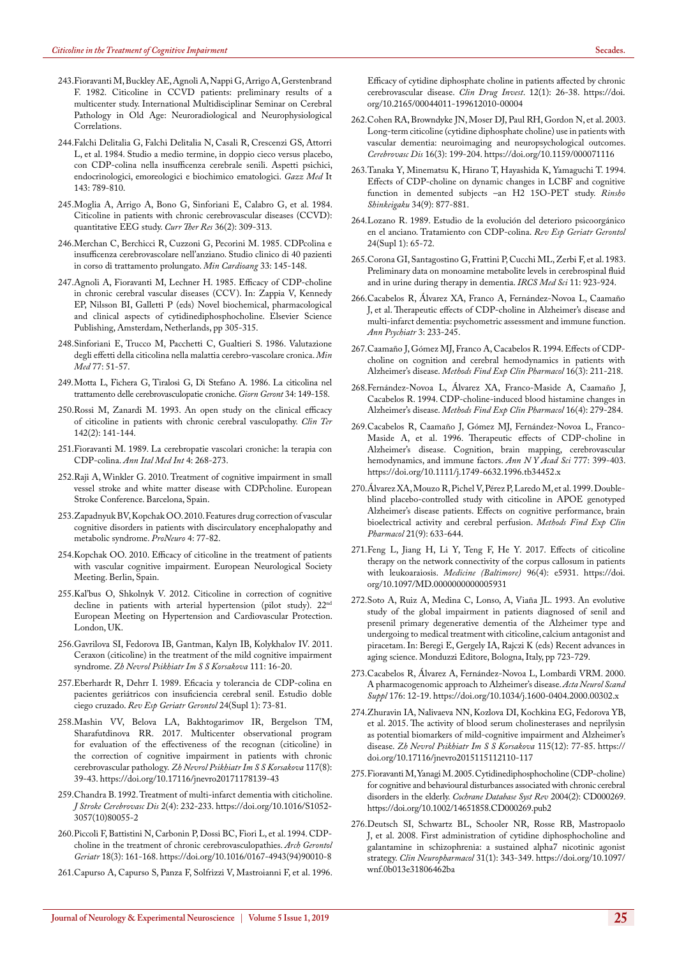- <span id="page-11-0"></span>243.Fioravanti M, Buckley AE, Agnoli A, Nappi G, Arrigo A, Gerstenbrand F. 1982. Citicoline in CCVD patients: preliminary results of a multicenter study. International Multidisciplinar Seminar on Cerebral Pathology in Old Age: Neuroradiological and Neurophysiological Correlations.
- 244.Falchi Delitalia G, Falchi Delitalia N, Casali R, Crescenzi GS, Attorri L, et al. 1984. Studio a medio termine, in doppio cieco versus placebo, con CDP-colina nella insufficenza cerebrale senili. Aspetti psichici, endocrinologici, emoreologici e biochimico ematologici. *Gazz Med* It 143: 789-810.
- 245[.Moglia A, Arrigo A, Bono G, Sinforiani E, Calabro G, et al. 1984.](https://psycnet.apa.org/record/1985-18128-001)  [Citicoline in patients with chronic cerebrovascular diseases \(CCVD\):](https://psycnet.apa.org/record/1985-18128-001)  [quantitative EEG study.](https://psycnet.apa.org/record/1985-18128-001) *Curr Ther Res* 36(2): 309-313.
- 246.Merchan C, Berchicci R, Cuzzoni G, Pecorini M. 1985. CDPcolina e insufficenza cerebrovascolare nell'anziano. Studio clinico di 40 pazienti in corso di trattamento prolungato. *Min Cardioang* 33: 145-148.
- 247.Agnoli A, Fioravanti M, Lechner H. 1985. Efficacy of CDP-choline in chronic cerebral vascular diseases (CCV). In: Zappia V, Kennedy EP, Nilsson BI, Galletti P (eds) Novel biochemical, pharmacological and clinical aspects of cytidinediphosphocholine. Elsevier Science Publishing, Amsterdam, Netherlands, pp 305-315.
- 248.Sinforiani E, Trucco M, Pacchetti C, Gualtieri S. 1986. Valutazione degli effetti della citicolina nella malattia cerebro-vascolare cronica. *Min Med* 77: 51-57.
- 249.Motta L, Fichera G, Tiralosi G, Di Stefano A. 1986. La citicolina nel trattamento delle cerebrovasculopatie croniche. *Giorn Geront* 34: 149-158.
- 250[.Rossi M, Zanardi M. 1993. An open study on the clinical efficacy](https://www.ncbi.nlm.nih.gov/pubmed/8472528)  [of citicoline in patients with chronic cerebral vasculopathy.](https://www.ncbi.nlm.nih.gov/pubmed/8472528) *Clin Ter* [142\(2\): 141-144.](https://www.ncbi.nlm.nih.gov/pubmed/8472528)
- 251.Fioravanti M. 1989. La cerebropatie vascolari croniche: la terapia con CDP-colina. *Ann Ital Med Int* 4: 268-273.
- 252.Raji A, Winkler G. 2010. Treatment of cognitive impairment in small vessel stroke and white matter disease with CDPcholine. European Stroke Conference. Barcelona, Spain.
- 253.Zapadnyuk BV, Kopchak OO. 2010. Features drug correction of vascular cognitive disorders in patients with discirculatory encephalopathy and metabolic syndrome. *ProNeuro* 4: 77-82.
- 254.Kopchak OO. 2010. Efficacy of citicoline in the treatment of patients with vascular cognitive impairment. European Neurological Society Meeting. Berlin, Spain.
- 255.Kal'bus O, Shkolnyk V. 2012. Citicoline in correction of cognitive decline in patients with arterial hypertension (pilot study). 22<sup>nd</sup> European Meeting on Hypertension and Cardiovascular Protection. London, UK.
- 256.Gavrilova SI, Fedorova IB, Gantman, Kalyn IB, Kolykhalov IV. 2011. Ceraxon (citicoline) in the treatment of the mild cognitive impairment syndrome. *Zh Nevrol Psikhiatr Im S S Korsakova* 111: 16-20.
- 257.Eberhardt R, Dehrr I. 1989. Eficacia y tolerancia de CDP-colina en pacientes geriátricos con insuficiencia cerebral senil. Estudio doble ciego cruzado. *Rev Esp Geriatr Gerontol* 24(Supl 1): 73-81.
- 258[.Mashin VV, Belova LA, Bakhtogarimov IR, Bergelson TM,](https://www.ncbi.nlm.nih.gov/pubmed/28884715)  [Sharafutdinova RR. 2017. Multicenter observational program](https://www.ncbi.nlm.nih.gov/pubmed/28884715)  [for evaluation of the effectiveness of the recognan \(citicoline\) in](https://www.ncbi.nlm.nih.gov/pubmed/28884715)  [the correction of cognitive impairment in patients with chronic](https://www.ncbi.nlm.nih.gov/pubmed/28884715)  cerebrovascular pathology. *[Zh Nevrol Psikhiatr Im S S Korsakova](https://www.ncbi.nlm.nih.gov/pubmed/28884715)* 117(8): [39-43.](https://www.ncbi.nlm.nih.gov/pubmed/28884715) <https://doi.org/10.17116/jnevro20171178139-43>
- 259[.Chandra B. 1992. Treatment of multi-infarct dementia with citicholine.](https://www.strokejournal.org/article/S1052-3057(10)80055-2/abstract)  *[J Stroke Cerebrovasc Dis](https://www.strokejournal.org/article/S1052-3057(10)80055-2/abstract)* 2(4): 232-233. [https://doi.org/10.1016/S1052-](https://doi.org/10.1016/S1052-3057(10)80055-2) [3057\(10\)80055-2](https://doi.org/10.1016/S1052-3057(10)80055-2)
- 260.[Piccoli F, Battistini N, Carbonin P, Dossi BC, Fiori L, et al. 1994. CDP](https://www.ncbi.nlm.nih.gov/pubmed/15374296)[choline in the treatment of chronic cerebrovasculopathies.](https://www.ncbi.nlm.nih.gov/pubmed/15374296) *Arch Gerontol Geriatr* [18\(3\): 161-168.](https://www.ncbi.nlm.nih.gov/pubmed/15374296) [https://doi.org/10.1016/0167-4943\(94\)90010-8](https://doi.org/10.1016/0167-4943(94)90010-8)
- <span id="page-11-1"></span>261[.Capurso A, Capurso S, Panza F, Solfrizzi V, Mastroianni F, et al. 1996.](https://link.springer.com/article/10.2165/00044011-199612010-00004)

[Efficacy of cytidine diphosphate choline in patients affected by chronic](https://link.springer.com/article/10.2165/00044011-199612010-00004)  [cerebrovascular disease.](https://link.springer.com/article/10.2165/00044011-199612010-00004) *Clin Drug Invest*. 12(1): 26-38. [https://doi.](https://doi.org/10.2165/00044011-199612010-00004) [org/10.2165/00044011-199612010-00004](https://doi.org/10.2165/00044011-199612010-00004)

- <span id="page-11-2"></span>262.[Cohen RA, Browndyke JN, Moser DJ, Paul RH, Gordon N, et al. 2003.](https://www.ncbi.nlm.nih.gov/pubmed/12865605)  [Long-term citicoline \(cytidine diphosphate choline\) use in patients with](https://www.ncbi.nlm.nih.gov/pubmed/12865605)  [vascular dementia: neuroimaging and neuropsychological outcomes.](https://www.ncbi.nlm.nih.gov/pubmed/12865605)  *Cerebrovasc Dis* [16\(3\): 199-204.](https://www.ncbi.nlm.nih.gov/pubmed/12865605) <https://doi.org/10.1159/000071116>
- <span id="page-11-3"></span>263[.Tanaka Y, Minematsu K, Hirano T, Hayashida K, Yamaguchi T. 1994.](https://www.ncbi.nlm.nih.gov/pubmed/7820960)  [Effects of CDP-choline on dynamic changes in LCBF and cognitive](https://www.ncbi.nlm.nih.gov/pubmed/7820960)  [function in demented subjects –an H2 15O-PET study.](https://www.ncbi.nlm.nih.gov/pubmed/7820960) *Rinsho Shinkeigaku* [34\(9\): 877-881.](https://www.ncbi.nlm.nih.gov/pubmed/7820960)
- <span id="page-11-4"></span>264.Lozano R. 1989. Estudio de la evolución del deterioro psicoorgánico en el anciano. Tratamiento con CDP-colina. *Rev Esp Geriatr Gerontol* 24(Supl 1): 65-72.
- <span id="page-11-5"></span>265.Corona GI, Santagostino G, Frattini P, Cucchi ML, Zerbi F, et al. 1983. Preliminary data on monoamine metabolite levels in cerebrospinal fluid and in urine during therapy in dementia. *IRCS Med Sci* 11: 923-924.
- <span id="page-11-6"></span>266.Cacabelos R, Álvarez XA, Franco A, Fernández-Novoa L, Caamaño J, et al. Therapeutic effects of CDP-choline in Alzheimer's disease and multi-infarct dementia: psychometric assessment and immune function. *Ann Psychiatr* 3: 233-245.
- 267[.Caamaño J, Gómez MJ, Franco A, Cacabelos R. 1994. Effects of CDP](https://www.ncbi.nlm.nih.gov/pubmed/7913981)[choline on cognition and cerebral hemodynamics in patients with](https://www.ncbi.nlm.nih.gov/pubmed/7913981)  Alzheimer's disease. *[Methods Find Exp Clin Pharmacol](https://www.ncbi.nlm.nih.gov/pubmed/7913981)* 16(3): 211-218.
- 268[.Fernández-Novoa L, Álvarez XA, Franco-Maside A, Caamaño J,](https://www.ncbi.nlm.nih.gov/pubmed/8051988)  [Cacabelos R. 1994. CDP-choline-induced blood histamine changes in](https://www.ncbi.nlm.nih.gov/pubmed/8051988)  Alzheimer's disease. *[Methods Find Exp Clin Pharmacol](https://www.ncbi.nlm.nih.gov/pubmed/8051988)* 16(4): 279-284.
- <span id="page-11-7"></span>269[.Cacabelos R, Caamaño J, Gómez MJ, Fernández-Novoa L, Franco-](https://www.ncbi.nlm.nih.gov/pubmed/8624120)[Maside A, et al. 1996. Therapeutic effects of CDP-choline in](https://www.ncbi.nlm.nih.gov/pubmed/8624120)  [Alzheimer's disease. Cognition, brain mapping, cerebrovascular](https://www.ncbi.nlm.nih.gov/pubmed/8624120)  [hemodynamics, and immune factors.](https://www.ncbi.nlm.nih.gov/pubmed/8624120) *Ann N Y Acad Sci* 777: 399-403. <https://doi.org/10.1111/j.1749-6632.1996.tb34452.x>
- <span id="page-11-8"></span>270[.Álvarez XA, Mouzo R, Pichel V, Pérez P, Laredo M, et al. 1999. Double](https://www.ncbi.nlm.nih.gov/pubmed/10669911)[blind placebo-controlled study with citicoline in APOE genotyped](https://www.ncbi.nlm.nih.gov/pubmed/10669911)  [Alzheimer's disease patients. Effects on cognitive performance, brain](https://www.ncbi.nlm.nih.gov/pubmed/10669911)  [bioelectrical activity and cerebral perfusion.](https://www.ncbi.nlm.nih.gov/pubmed/10669911) *Methods Find Exp Clin Pharmacol* [21\(9\): 633-644.](https://www.ncbi.nlm.nih.gov/pubmed/10669911)
- <span id="page-11-9"></span>271[.Feng L, Jiang H, Li Y, Teng F, He Y. 2017. Effects of citicoline](https://www.ncbi.nlm.nih.gov/pubmed/28121935)  [therapy on the network connectivity of the corpus callosum in patients](https://www.ncbi.nlm.nih.gov/pubmed/28121935)  with leukoaraiosis. *[Medicine \(Baltimore\)](https://www.ncbi.nlm.nih.gov/pubmed/28121935)* 96(4): e5931. [https://doi.](https://doi.org/10.1097/MD.0000000000005931) [org/10.1097/MD.0000000000005931](https://doi.org/10.1097/MD.0000000000005931)
- <span id="page-11-10"></span>272.Soto A, Ruiz A, Medina C, Lonso, A, Viaña JL. 1993. An evolutive study of the global impairment in patients diagnosed of senil and presenil primary degenerative dementia of the Alzheimer type and undergoing to medical treatment with citicoline, calcium antagonist and piracetam. In: Beregi E, Gergely IA, Rajczi K (eds) Recent advances in aging science. Monduzzi Editore, Bologna, Italy, pp 723-729.
- <span id="page-11-11"></span>273.[Cacabelos R, Álvarez A, Fernández-Novoa L, Lombardi VRM. 2000.](https://www.ncbi.nlm.nih.gov/pubmed/11261800)  [A pharmacogenomic approach to Alzheimer's disease.](https://www.ncbi.nlm.nih.gov/pubmed/11261800) *Acta Neurol Scand Suppl* [176: 12-19.](https://www.ncbi.nlm.nih.gov/pubmed/11261800) <https://doi.org/10.1034/j.1600-0404.2000.00302.x>
- <span id="page-11-12"></span>274.[Zhuravin IA, Nalivaeva NN, Kozlova DI, Kochkina EG, Fedorova YB,](https://www.ncbi.nlm.nih.gov/pubmed/26978503)  [et al. 2015. The activity of blood serum cholinesterases and neprilysin](https://www.ncbi.nlm.nih.gov/pubmed/26978503)  [as potential biomarkers of mild-cognitive impairment and Alzheimer's](https://www.ncbi.nlm.nih.gov/pubmed/26978503)  disease. *[Zh Nevrol Psikhiatr Im S S Korsakova](https://www.ncbi.nlm.nih.gov/pubmed/26978503)* 115(12): 77-85. [https://](https://doi.org/10.17116/jnevro2015115112110-117) [doi.org/10.17116/jnevro2015115112110-117](https://doi.org/10.17116/jnevro2015115112110-117)
- <span id="page-11-13"></span>275.[Fioravanti M, Yanagi M. 2005. Cytidinediphosphocholine \(CDP-choline\)](https://doi.org/10.1002/14651858.CD000269.pub2)  [for cognitive and behavioural disturbances associated with chronic cerebral](https://doi.org/10.1002/14651858.CD000269.pub2)  disorders in the elderly. *[Cochrane Database Syst Rev](https://doi.org/10.1002/14651858.CD000269.pub2)* 2004(2): CD000269. <https://doi.org/10.1002/14651858.CD000269.pub2>
- <span id="page-11-14"></span>276.[Deutsch SI, Schwartz BL, Schooler NR, Rosse RB, Mastropaolo](https://www.ncbi.nlm.nih.gov/pubmed/18303489)  [J, et al. 2008. First administration of cytidine diphosphocholine and](https://www.ncbi.nlm.nih.gov/pubmed/18303489)  [galantamine in schizophrenia: a sustained alpha7 nicotinic agonist](https://www.ncbi.nlm.nih.gov/pubmed/18303489)  strategy. *[Clin Neuropharmacol](https://www.ncbi.nlm.nih.gov/pubmed/18303489)* 31(1): 343-349. [https://doi.org/10.1097/](https://doi.org/10.1097/wnf.0b013e31806462ba) [wnf.0b013e31806462ba](https://doi.org/10.1097/wnf.0b013e31806462ba)